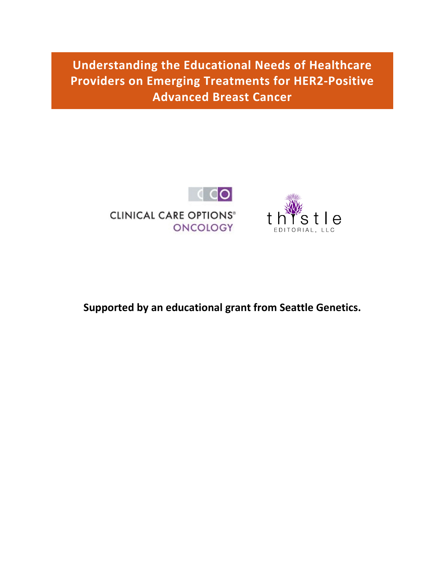**Understanding the Educational Needs of Healthcare Providers on Emerging Treatments for HER2-Positive Advanced Breast Cancer**





**Supported by an educational grant from Seattle Genetics.**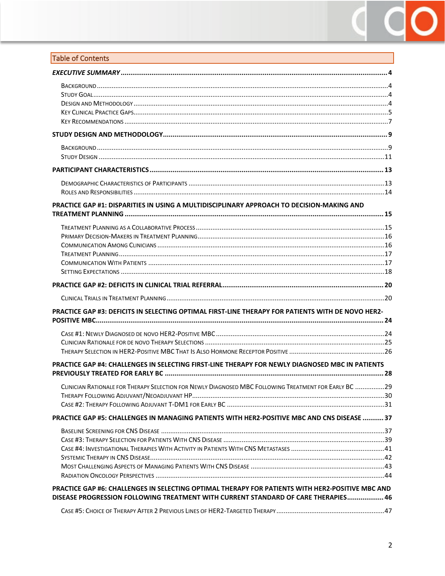# $\bullet$ Ĉ

## Table of Contents

| PRACTICE GAP #1: DISPARITIES IN USING A MULTIDISCIPLINARY APPROACH TO DECISION-MAKING AND                                                                                              |  |
|----------------------------------------------------------------------------------------------------------------------------------------------------------------------------------------|--|
|                                                                                                                                                                                        |  |
|                                                                                                                                                                                        |  |
|                                                                                                                                                                                        |  |
| <b>PRACTICE GAP #3: DEFICITS IN SELECTING OPTIMAL FIRST-LINE THERAPY FOR PATIENTS WITH DE NOVO HER2-</b>                                                                               |  |
|                                                                                                                                                                                        |  |
| PRACTICE GAP #4: CHALLENGES IN SELECTING FIRST-LINE THERAPY FOR NEWLY DIAGNOSED MBC IN PATIENTS                                                                                        |  |
| CLINICIAN RATIONALE FOR THERAPY SELECTION FOR NEWLY DIAGNOSED MBC FOLLOWING TREATMENT FOR EARLY BC 29                                                                                  |  |
| PRACTICE GAP #5: CHALLENGES IN MANAGING PATIENTS WITH HER2-POSITIVE MBC AND CNS DISEASE  37                                                                                            |  |
|                                                                                                                                                                                        |  |
| PRACTICE GAP #6: CHALLENGES IN SELECTING OPTIMAL THERAPY FOR PATIENTS WITH HER2-POSITIVE MBC AND<br>DISEASE PROGRESSION FOLLOWING TREATMENT WITH CURRENT STANDARD OF CARE THERAPIES 46 |  |
|                                                                                                                                                                                        |  |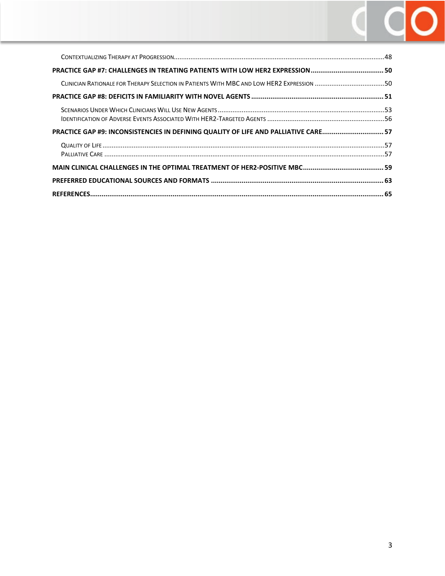

| PRACTICE GAP #9: INCONSISTENCIES IN DEFINING QUALITY OF LIFE AND PALLIATIVE CARE 57 |     |
|-------------------------------------------------------------------------------------|-----|
|                                                                                     |     |
|                                                                                     |     |
|                                                                                     |     |
|                                                                                     | .65 |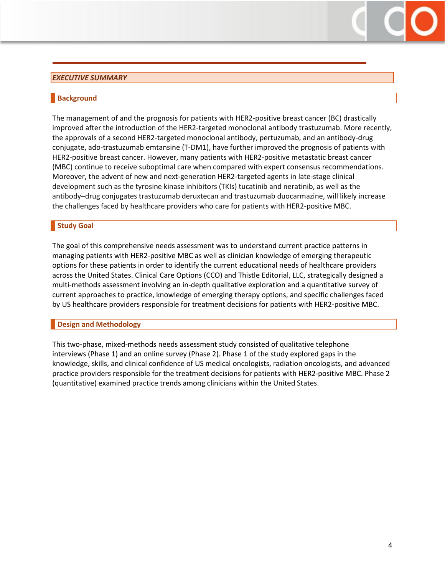#### <span id="page-3-0"></span>*EXECUTIVE SUMMARY*

#### <span id="page-3-1"></span>**Background**

The management of and the prognosis for patients with HER2-positive breast cancer (BC) drastically improved after the introduction of the HER2-targeted monoclonal antibody trastuzumab. More recently, the approvals of a second HER2-targeted monoclonal antibody, pertuzumab, and an antibody-drug conjugate, ado-trastuzumab emtansine (T-DM1), have further improved the prognosis of patients with HER2-positive breast cancer. However, many patients with HER2-positive metastatic breast cancer (MBC) continue to receive suboptimal care when compared with expert consensus recommendations. Moreover, the advent of new and next-generation HER2-targeted agents in late-stage clinical development such as the tyrosine kinase inhibitors (TKIs) tucatinib and neratinib, as well as the antibody–drug conjugates trastuzumab deruxtecan and trastuzumab duocarmazine, will likely increase the challenges faced by healthcare providers who care for patients with HER2-positive MBC.

#### <span id="page-3-2"></span>**Study Goal**

The goal of this comprehensive needs assessment was to understand current practice patterns in managing patients with HER2-positive MBC as well as clinician knowledge of emerging therapeutic options for these patients in order to identify the current educational needs of healthcare providers across the United States. Clinical Care Options (CCO) and Thistle Editorial, LLC, strategically designed a multi-methods assessment involving an in-depth qualitative exploration and a quantitative survey of current approaches to practice, knowledge of emerging therapy options, and specific challenges faced by US healthcare providers responsible for treatment decisions for patients with HER2-positive MBC.

#### <span id="page-3-3"></span>**Design and Methodology**

This two-phase, mixed-methods needs assessment study consisted of qualitative telephone interviews (Phase 1) and an online survey (Phase 2). Phase 1 of the study explored gaps in the knowledge, skills, and clinical confidence of US medical oncologists, radiation oncologists, and advanced practice providers responsible for the treatment decisions for patients with HER2-positive MBC. Phase 2 (quantitative) examined practice trends among clinicians within the United States.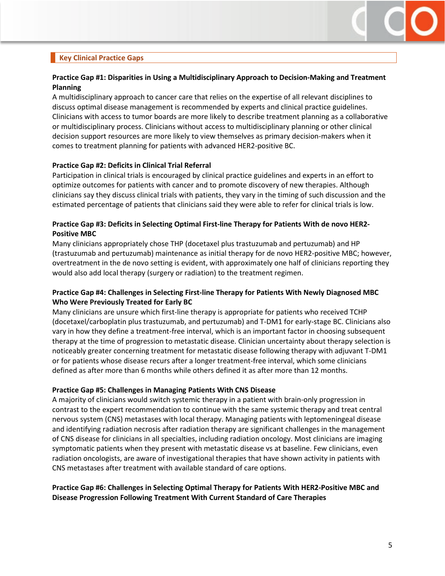

## <span id="page-4-0"></span>**Key Clinical Practice Gaps**

## **Practice Gap #1: Disparities in Using a Multidisciplinary Approach to Decision-Making and Treatment Planning**

A multidisciplinary approach to cancer care that relies on the expertise of all relevant disciplines to discuss optimal disease management is recommended by experts and clinical practice guidelines. Clinicians with access to tumor boards are more likely to describe treatment planning as a collaborative or multidisciplinary process. Clinicians without access to multidisciplinary planning or other clinical decision support resources are more likely to view themselves as primary decision-makers when it comes to treatment planning for patients with advanced HER2-positive BC.

#### **Practice Gap #2: Deficits in Clinical Trial Referral**

Participation in clinical trials is encouraged by clinical practice guidelines and experts in an effort to optimize outcomes for patients with cancer and to promote discovery of new therapies. Although clinicians say they discuss clinical trials with patients, they vary in the timing of such discussion and the estimated percentage of patients that clinicians said they were able to refer for clinical trials is low.

## **Practice Gap #3: Deficits in Selecting Optimal First-line Therapy for Patients With de novo HER2- Positive MBC**

Many clinicians appropriately chose THP (docetaxel plus trastuzumab and pertuzumab) and HP (trastuzumab and pertuzumab) maintenance as initial therapy for de novo HER2-positive MBC; however, overtreatment in the de novo setting is evident, with approximately one half of clinicians reporting they would also add local therapy (surgery or radiation) to the treatment regimen.

#### **Practice Gap #4: Challenges in Selecting First-line Therapy for Patients With Newly Diagnosed MBC Who Were Previously Treated for Early BC**

Many clinicians are unsure which first-line therapy is appropriate for patients who received TCHP (docetaxel/carboplatin plus trastuzumab, and pertuzumab) and T-DM1 for early-stage BC. Clinicians also vary in how they define a treatment-free interval, which is an important factor in choosing subsequent therapy at the time of progression to metastatic disease. Clinician uncertainty about therapy selection is noticeably greater concerning treatment for metastatic disease following therapy with adjuvant T-DM1 or for patients whose disease recurs after a longer treatment-free interval, which some clinicians defined as after more than 6 months while others defined it as after more than 12 months.

#### **Practice Gap #5: Challenges in Managing Patients With CNS Disease**

A majority of clinicians would switch systemic therapy in a patient with brain-only progression in contrast to the expert recommendation to continue with the same systemic therapy and treat central nervous system (CNS) metastases with local therapy. Managing patients with leptomeningeal disease and identifying radiation necrosis after radiation therapy are significant challenges in the management of CNS disease for clinicians in all specialties, including radiation oncology. Most clinicians are imaging symptomatic patients when they present with metastatic disease vs at baseline. Few clinicians, even radiation oncologists, are aware of investigational therapies that have shown activity in patients with CNS metastases after treatment with available standard of care options.

## **Practice Gap #6: Challenges in Selecting Optimal Therapy for Patients With HER2-Positive MBC and Disease Progression Following Treatment With Current Standard of Care Therapies**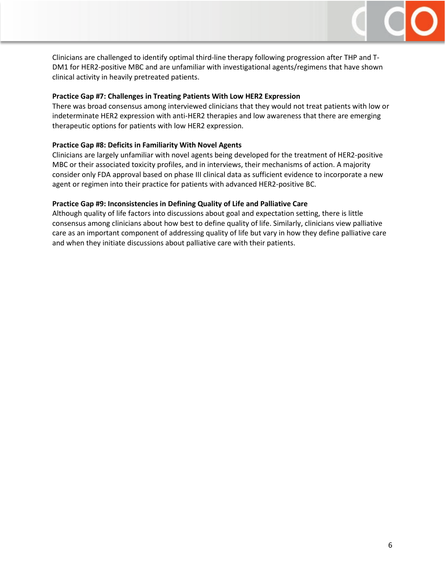

Clinicians are challenged to identify optimal third-line therapy following progression after THP and T-DM1 for HER2-positive MBC and are unfamiliar with investigational agents/regimens that have shown clinical activity in heavily pretreated patients.

#### **Practice Gap #7: Challenges in Treating Patients With Low HER2 Expression**

There was broad consensus among interviewed clinicians that they would not treat patients with low or indeterminate HER2 expression with anti-HER2 therapies and low awareness that there are emerging therapeutic options for patients with low HER2 expression.

#### **Practice Gap #8: Deficits in Familiarity With Novel Agents**

Clinicians are largely unfamiliar with novel agents being developed for the treatment of HER2-positive MBC or their associated toxicity profiles, and in interviews, their mechanisms of action. A majority consider only FDA approval based on phase III clinical data as sufficient evidence to incorporate a new agent or regimen into their practice for patients with advanced HER2-positive BC.

#### **Practice Gap #9: Inconsistencies in Defining Quality of Life and Palliative Care**

Although quality of life factors into discussions about goal and expectation setting, there is little consensus among clinicians about how best to define quality of life. Similarly, clinicians view palliative care as an important component of addressing quality of life but vary in how they define palliative care and when they initiate discussions about palliative care with their patients.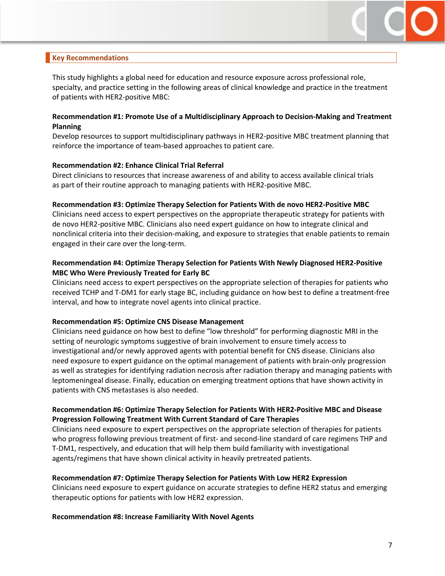

## <span id="page-6-0"></span>**Key Recommendations**

This study highlights a global need for education and resource exposure across professional role, specialty, and practice setting in the following areas of clinical knowledge and practice in the treatment of patients with HER2-positive MBC:

#### **Recommendation #1: Promote Use of a Multidisciplinary Approach to Decision-Making and Treatment Planning**

Develop resources to support multidisciplinary pathways in HER2-positive MBC treatment planning that reinforce the importance of team-based approaches to patient care.

#### **Recommendation #2: Enhance Clinical Trial Referral**

Direct clinicians to resources that increase awareness of and ability to access available clinical trials as part of their routine approach to managing patients with HER2-positive MBC.

#### **Recommendation #3: Optimize Therapy Selection for Patients With de novo HER2-Positive MBC**

Clinicians need access to expert perspectives on the appropriate therapeutic strategy for patients with de novo HER2-positive MBC. Clinicians also need expert guidance on how to integrate clinical and nonclinical criteria into their decision-making, and exposure to strategies that enable patients to remain engaged in their care over the long-term.

#### **Recommendation #4: Optimize Therapy Selection for Patients With Newly Diagnosed HER2-Positive MBC Who Were Previously Treated for Early BC**

Clinicians need access to expert perspectives on the appropriate selection of therapies for patients who received TCHP and T-DM1 for early stage BC, including guidance on how best to define a treatment-free interval, and how to integrate novel agents into clinical practice.

#### **Recommendation #5: Optimize CNS Disease Management**

Clinicians need guidance on how best to define "low threshold" for performing diagnostic MRI in the setting of neurologic symptoms suggestive of brain involvement to ensure timely access to investigational and/or newly approved agents with potential benefit for CNS disease. Clinicians also need exposure to expert guidance on the optimal management of patients with brain-only progression as well as strategies for identifying radiation necrosis after radiation therapy and managing patients with leptomeningeal disease. Finally, education on emerging treatment options that have shown activity in patients with CNS metastases is also needed.

#### **Recommendation #6: Optimize Therapy Selection for Patients With HER2-Positive MBC and Disease Progression Following Treatment With Current Standard of Care Therapies**

Clinicians need exposure to expert perspectives on the appropriate selection of therapies for patients who progress following previous treatment of first- and second-line standard of care regimens THP and T-DM1, respectively, and education that will help them build familiarity with investigational agents/regimens that have shown clinical activity in heavily pretreated patients.

#### **Recommendation #7: Optimize Therapy Selection for Patients With Low HER2 Expression**

Clinicians need exposure to expert guidance on accurate strategies to define HER2 status and emerging therapeutic options for patients with low HER2 expression.

#### **Recommendation #8: Increase Familiarity With Novel Agents**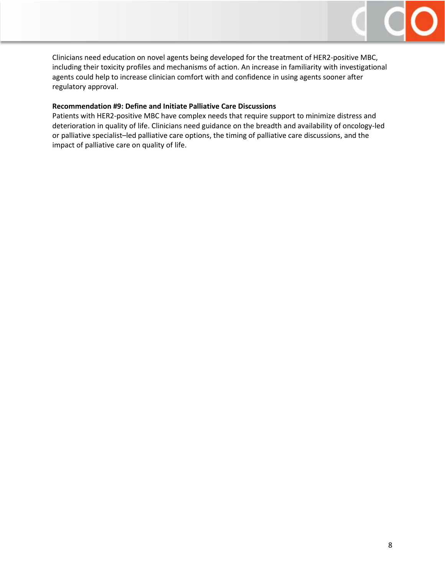

Clinicians need education on novel agents being developed for the treatment of HER2-positive MBC, including their toxicity profiles and mechanisms of action. An increase in familiarity with investigational agents could help to increase clinician comfort with and confidence in using agents sooner after regulatory approval.

#### **Recommendation #9: Define and Initiate Palliative Care Discussions**

Patients with HER2-positive MBC have complex needs that require support to minimize distress and deterioration in quality of life. Clinicians need guidance on the breadth and availability of oncology-led or palliative specialist–led palliative care options, the timing of palliative care discussions, and the impact of palliative care on quality of life.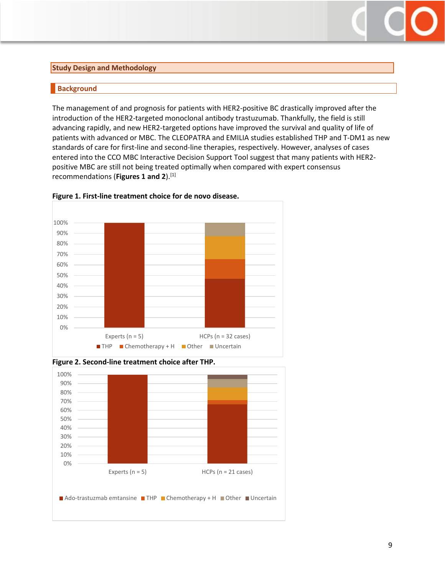#### <span id="page-8-0"></span>**Study Design and Methodology**

## <span id="page-8-1"></span>**Background**

The management of and prognosis for patients with HER2-positive BC drastically improved after the introduction of the HER2-targeted monoclonal antibody trastuzumab. Thankfully, the field is still advancing rapidly, and new HER2-targeted options have improved the survival and quality of life of patients with advanced or MBC. The CLEOPATRA and EMILIA studies established THP and T-DM1 as new standards of care for first-line and second-line therapies, respectively. However, analyses of cases entered into the CCO MBC Interactive Decision Support Tool suggest that many patients with HER2 positive MBC are still not being treated optimally when compared with expert consensus recommendations (**Figures 1 and 2**). [1]







**Figure 2. Second-line treatment choice after THP.**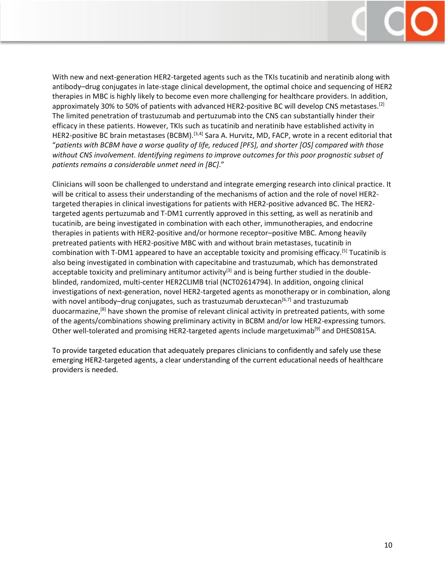

With new and next-generation HER2-targeted agents such as the TKIs tucatinib and neratinib along with antibody–drug conjugates in late-stage clinical development, the optimal choice and sequencing of HER2 therapies in MBC is highly likely to become even more challenging for healthcare providers. In addition, approximately 30% to 50% of patients with advanced HER2-positive BC will develop CNS metastases.<sup>[2]</sup> The limited penetration of trastuzumab and pertuzumab into the CNS can substantially hinder their efficacy in these patients. However, TKIs such as tucatinib and neratinib have established activity in HER2-positive BC brain metastases (BCBM).<sup>[3,4]</sup> Sara A. Hurvitz, MD, FACP, wrote in a recent editorial that "*patients with BCBM have a worse quality of life, reduced [PFS], and shorter [OS] compared with those without CNS involvement. Identifying regimens to improve outcomes for this poor prognostic subset of patients remains a considerable unmet need in [BC]*."

Clinicians will soon be challenged to understand and integrate emerging research into clinical practice. It will be critical to assess their understanding of the mechanisms of action and the role of novel HER2 targeted therapies in clinical investigations for patients with HER2-positive advanced BC. The HER2 targeted agents pertuzumab and T-DM1 currently approved in this setting, as well as neratinib and tucatinib, are being investigated in combination with each other, immunotherapies, and endocrine therapies in patients with HER2-positive and/or hormone receptor–positive MBC. Among heavily pretreated patients with HER2-positive MBC with and without brain metastases, tucatinib in combination with T-DM1 appeared to have an acceptable toxicity and promising efficacy.[5] Tucatinib is also being investigated in combination with capecitabine and trastuzumab, which has demonstrated acceptable toxicity and preliminary antitumor activity<sup>[3]</sup> and is being further studied in the doubleblinded, randomized, multi-center HER2CLIMB trial (NCT02614794). In addition, ongoing clinical investigations of next-generation, novel HER2-targeted agents as monotherapy or in combination, along with novel antibody–drug conjugates, such as trastuzumab deruxtecan<sup>[6,7]</sup> and trastuzumab duocarmazine,[8] have shown the promise of relevant clinical activity in pretreated patients, with some of the agents/combinations showing preliminary activity in BCBM and/or low HER2-expressing tumors. Other well-tolerated and promising HER2-targeted agents include margetuximab<sup>[9]</sup> and DHES0815A.

To provide targeted education that adequately prepares clinicians to confidently and safely use these emerging HER2-targeted agents, a clear understanding of the current educational needs of healthcare providers is needed.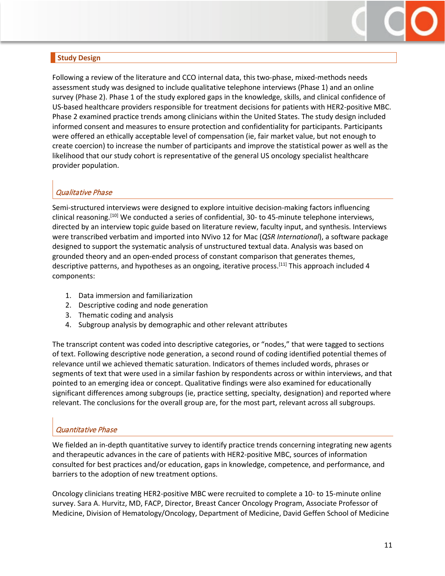

## <span id="page-10-0"></span>**Study Design**

Following a review of the literature and CCO internal data, this two-phase, mixed-methods needs assessment study was designed to include qualitative telephone interviews (Phase 1) and an online survey (Phase 2). Phase 1 of the study explored gaps in the knowledge, skills, and clinical confidence of US-based healthcare providers responsible for treatment decisions for patients with HER2-positive MBC. Phase 2 examined practice trends among clinicians within the United States. The study design included informed consent and measures to ensure protection and confidentiality for participants. Participants were offered an ethically acceptable level of compensation (ie, fair market value, but not enough to create coercion) to increase the number of participants and improve the statistical power as well as the likelihood that our study cohort is representative of the general US oncology specialist healthcare provider population.

## Qualitative Phase

Semi-structured interviews were designed to explore intuitive decision-making factors influencing clinical reasoning.[10] We conducted a series of confidential, 30- to 45-minute telephone interviews, directed by an interview topic guide based on literature review, faculty input, and synthesis. Interviews were transcribed verbatim and imported into NVivo 12 for Mac (*QSR International*), a software package designed to support the systematic analysis of unstructured textual data. Analysis was based on grounded theory and an open-ended process of constant comparison that generates themes, descriptive patterns, and hypotheses as an ongoing, iterative process.<sup>[11]</sup> This approach included 4 components:

- 1. Data immersion and familiarization
- 2. Descriptive coding and node generation
- 3. Thematic coding and analysis
- 4. Subgroup analysis by demographic and other relevant attributes

The transcript content was coded into descriptive categories, or "nodes," that were tagged to sections of text. Following descriptive node generation, a second round of coding identified potential themes of relevance until we achieved thematic saturation. Indicators of themes included words, phrases or segments of text that were used in a similar fashion by respondents across or within interviews, and that pointed to an emerging idea or concept. Qualitative findings were also examined for educationally significant differences among subgroups (ie, practice setting, specialty, designation) and reported where relevant. The conclusions for the overall group are, for the most part, relevant across all subgroups.

## Quantitative Phase

We fielded an in-depth quantitative survey to identify practice trends concerning integrating new agents and therapeutic advances in the care of patients with HER2-positive MBC, sources of information consulted for best practices and/or education, gaps in knowledge, competence, and performance, and barriers to the adoption of new treatment options.

Oncology clinicians treating HER2-positive MBC were recruited to complete a 10- to 15-minute online survey. Sara A. Hurvitz, MD, FACP, Director, Breast Cancer Oncology Program, Associate Professor of Medicine, Division of Hematology/Oncology, Department of Medicine, David Geffen School of Medicine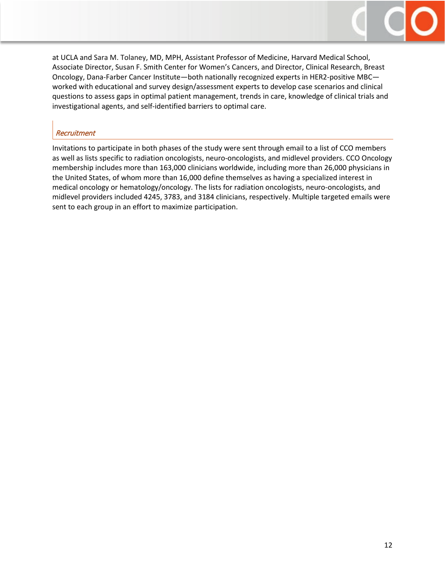

at UCLA and Sara M. Tolaney, MD, MPH, Assistant Professor of Medicine, Harvard Medical School, Associate Director, Susan F. Smith Center for Women's Cancers, and Director, Clinical Research, Breast Oncology, Dana-Farber Cancer Institute—both nationally recognized experts in HER2-positive MBC worked with educational and survey design/assessment experts to develop case scenarios and clinical questions to assess gaps in optimal patient management, trends in care, knowledge of clinical trials and investigational agents, and self-identified barriers to optimal care.

## **Recruitment**

Invitations to participate in both phases of the study were sent through email to a list of CCO members as well as lists specific to radiation oncologists, neuro-oncologists, and midlevel providers. CCO Oncology membership includes more than 163,000 clinicians worldwide, including more than 26,000 physicians in the United States, of whom more than 16,000 define themselves as having a specialized interest in medical oncology or hematology/oncology. The lists for radiation oncologists, neuro-oncologists, and midlevel providers included 4245, 3783, and 3184 clinicians, respectively. Multiple targeted emails were sent to each group in an effort to maximize participation.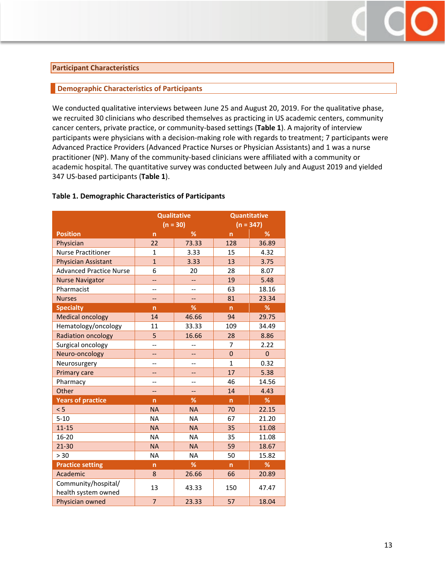#### <span id="page-12-0"></span>**Participant Characteristics**

#### <span id="page-12-1"></span>**Demographic Characteristics of Participants**

We conducted qualitative interviews between June 25 and August 20, 2019. For the qualitative phase, we recruited 30 clinicians who described themselves as practicing in US academic centers, community cancer centers, private practice, or community-based settings (**Table 1**). A majority of interview participants were physicians with a decision-making role with regards to treatment; 7 participants were Advanced Practice Providers (Advanced Practice Nurses or Physician Assistants) and 1 was a nurse practitioner (NP). Many of the community-based clinicians were affiliated with a community or academic hospital. The quantitative survey was conducted between July and August 2019 and yielded 347 US-based participants (**Table 1**).

| <b>Qualitative</b>             |                          |                          |                                    |             |  |  |
|--------------------------------|--------------------------|--------------------------|------------------------------------|-------------|--|--|
|                                |                          |                          | <b>Quantitative</b><br>$(n = 347)$ |             |  |  |
|                                |                          | $(n = 30)$               |                                    |             |  |  |
| <b>Position</b>                | n                        | %                        | n                                  | %           |  |  |
| Physician                      | 22                       | 73.33                    | 128                                | 36.89       |  |  |
| <b>Nurse Practitioner</b>      | $\mathbf{1}$             | 3.33                     | 15                                 | 4.32        |  |  |
| <b>Physician Assistant</b>     | $\overline{1}$           | 3.33                     | 13                                 | 3.75        |  |  |
| <b>Advanced Practice Nurse</b> | 6                        | 20                       | 28                                 | 8.07        |  |  |
| <b>Nurse Navigator</b>         | --                       | --                       | 19                                 | 5.48        |  |  |
| Pharmacist                     | $\overline{a}$           | $\overline{\phantom{a}}$ | 63                                 | 18.16       |  |  |
| <b>Nurses</b>                  | --                       | --                       | 81                                 | 23.34       |  |  |
| <b>Specialty</b>               | n                        | %                        | $\mathsf{n}$                       | %           |  |  |
| <b>Medical oncology</b>        | 14                       | 46.66                    | 94                                 | 29.75       |  |  |
| Hematology/oncology            | 11                       | 33.33                    | 109                                | 34.49       |  |  |
| <b>Radiation oncology</b>      | 5                        | 16.66                    | 28                                 | 8.86        |  |  |
| Surgical oncology              | $\overline{\phantom{a}}$ |                          | $\overline{7}$                     | 2.22        |  |  |
| Neuro-oncology                 | --                       |                          | $\mathbf 0$                        | $\mathbf 0$ |  |  |
| Neurosurgery                   | $\overline{a}$           | $\overline{\phantom{a}}$ | $\mathbf{1}$                       | 0.32        |  |  |
| <b>Primary care</b>            | --                       |                          | 17                                 | 5.38        |  |  |
| Pharmacy                       | --                       |                          | 46                                 | 14.56       |  |  |
| Other                          | 44                       | <u></u>                  | 14                                 | 4.43        |  |  |
| <b>Years of practice</b>       | $\overline{ }$           | %                        | $\mathsf{n}$                       | %           |  |  |
| < 5                            | <b>NA</b>                | <b>NA</b>                | 70                                 | 22.15       |  |  |
| $5 - 10$                       | <b>NA</b>                | <b>NA</b>                | 67                                 | 21.20       |  |  |
| $11 - 15$                      | <b>NA</b>                | <b>NA</b>                | 35                                 | 11.08       |  |  |
| $16 - 20$                      | <b>NA</b>                | <b>NA</b>                | 35                                 | 11.08       |  |  |
| $21 - 30$                      | <b>NA</b>                | <b>NA</b>                | 59                                 | 18.67       |  |  |
| > 30                           | <b>NA</b>                | <b>NA</b>                | 50                                 | 15.82       |  |  |
| <b>Practice setting</b>        | $\overline{ }$           | %                        | n                                  | %           |  |  |
| Academic                       | 8                        | 26.66                    | 66                                 | 20.89       |  |  |
| Community/hospital/            |                          |                          |                                    |             |  |  |
| health system owned            | 13                       | 43.33                    | 150                                | 47.47       |  |  |
| Physician owned                | $\overline{7}$           | 23.33                    | 57                                 | 18.04       |  |  |

#### **Table 1. Demographic Characteristics of Participants**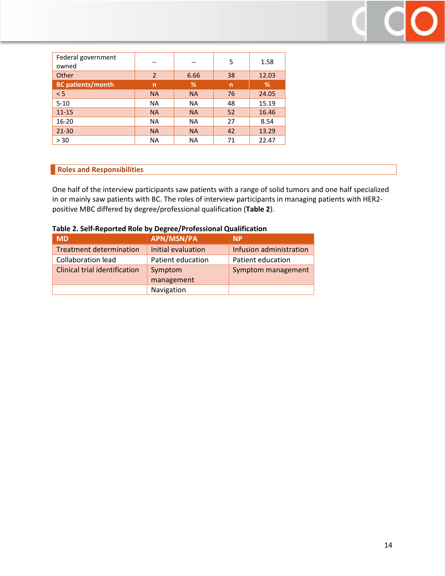| Federal government<br>owned |                |           | 5  | 1.58  |
|-----------------------------|----------------|-----------|----|-------|
| Other                       | $\overline{2}$ | 6.66      | 38 | 12.03 |
| <b>BC patients/month</b>    | n              | %         | n  | %     |
| < 5                         | <b>NA</b>      | <b>NA</b> | 76 | 24.05 |
| $5 - 10$                    | <b>NA</b>      | <b>NA</b> | 48 | 15.19 |
| $11 - 15$                   | <b>NA</b>      | <b>NA</b> | 52 | 16.46 |
| $16 - 20$                   | <b>NA</b>      | <b>NA</b> | 27 | 8.54  |
| $21 - 30$                   | <b>NA</b>      | <b>NA</b> | 42 | 13.29 |
| > 30                        | <b>NA</b>      | <b>NA</b> | 71 | 22.47 |

## <span id="page-13-0"></span>**Roles and Responsibilities**

One half of the interview participants saw patients with a range of solid tumors and one half specialized in or mainly saw patients with BC. The roles of interview participants in managing patients with HER2 positive MBC differed by degree/professional qualification (**Table 2**).

| <b>MD</b>                            | <b>APN/MSN/PA</b>  | <b>NP</b>                 |
|--------------------------------------|--------------------|---------------------------|
| <b>Treatment determination</b>       | Initial evaluation | Infusion administration   |
| <b>Collaboration lead</b>            | Patient education  | Patient education         |
| <b>Clinical trial identification</b> | Symptom            | <b>Symptom management</b> |
|                                      | management         |                           |
|                                      | Navigation         |                           |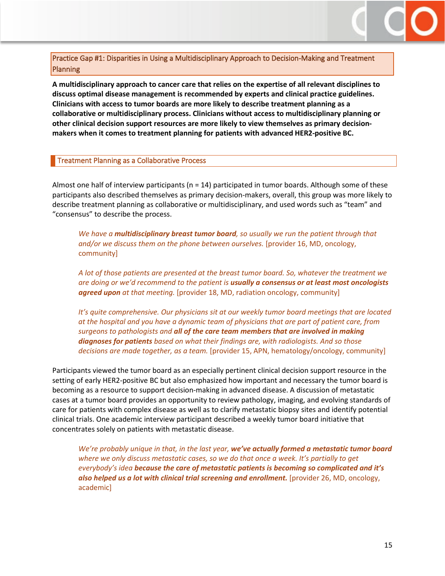

<span id="page-14-0"></span>Practice Gap #1: Disparities in Using a Multidisciplinary Approach to Decision-Making and Treatment Planning

**A multidisciplinary approach to cancer care that relies on the expertise of all relevant disciplines to discuss optimal disease management is recommended by experts and clinical practice guidelines. Clinicians with access to tumor boards are more likely to describe treatment planning as a collaborative or multidisciplinary process. Clinicians without access to multidisciplinary planning or other clinical decision support resources are more likely to view themselves as primary decisionmakers when it comes to treatment planning for patients with advanced HER2-positive BC.** 

#### <span id="page-14-1"></span>Treatment Planning as a Collaborative Process

Almost one half of interview participants ( $n = 14$ ) participated in tumor boards. Although some of these participants also described themselves as primary decision-makers, overall, this group was more likely to describe treatment planning as collaborative or multidisciplinary, and used words such as "team" and "consensus" to describe the process.

*We have a multidisciplinary breast tumor board, so usually we run the patient through that and/or we discuss them on the phone between ourselves.* [provider 16, MD, oncology, community]

*A lot of those patients are presented at the breast tumor board. So, whatever the treatment we are doing or we'd recommend to the patient is usually a consensus or at least most oncologists agreed upon at that meeting.* [provider 18, MD, radiation oncology, community]

*It's quite comprehensive. Our physicians sit at our weekly tumor board meetings that are located at the hospital and you have a dynamic team of physicians that are part of patient care, from surgeons to pathologists and all of the care team members that are involved in making diagnoses for patients based on what their findings are, with radiologists. And so those decisions are made together, as a team.* [provider 15, APN, hematology/oncology, community]

Participants viewed the tumor board as an especially pertinent clinical decision support resource in the setting of early HER2-positive BC but also emphasized how important and necessary the tumor board is becoming as a resource to support decision-making in advanced disease. A discussion of metastatic cases at a tumor board provides an opportunity to review pathology, imaging, and evolving standards of care for patients with complex disease as well as to clarify metastatic biopsy sites and identify potential clinical trials. One academic interview participant described a weekly tumor board initiative that concentrates solely on patients with metastatic disease.

*We're probably unique in that, in the last year, we've actually formed a metastatic tumor board where we only discuss metastatic cases, so we do that once a week. It's partially to get everybody's idea because the care of metastatic patients is becoming so complicated and it's also helped us a lot with clinical trial screening and enrollment.* [provider 26, MD, oncology, academic]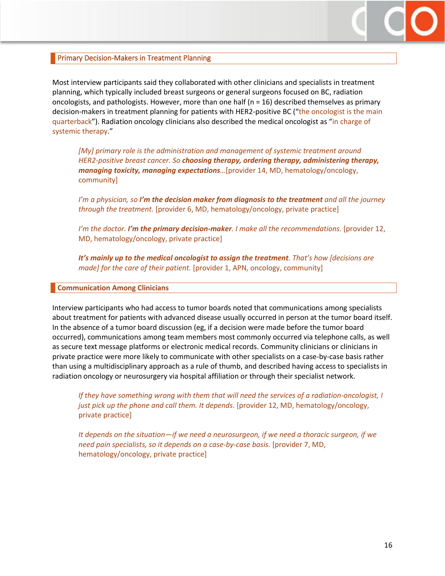

#### <span id="page-15-0"></span>Primary Decision-Makers in Treatment Planning

Most interview participants said they collaborated with other clinicians and specialists in treatment planning, which typically included breast surgeons or general surgeons focused on BC, radiation oncologists, and pathologists. However, more than one half ( $n = 16$ ) described themselves as primary decision-makers in treatment planning for patients with HER2-positive BC ("the oncologist is the main quarterback"). Radiation oncology clinicians also described the medical oncologist as "in charge of systemic therapy."

*[My] primary role is the administration and management of systemic treatment around HER2-positive breast cancer. So choosing therapy, ordering therapy, administering therapy, managing toxicity, managing expectations…*[provider 14, MD, hematology/oncology, community]

*I'm a physician, so I'm the decision maker from diagnosis to the treatment and all the journey through the treatment.* [provider 6, MD, hematology/oncology, private practice]

*I'm the doctor. I'm the primary decision-maker. I make all the recommendations*. [provider 12, MD, hematology/oncology, private practice]

*It's mainly up to the medical oncologist to assign the treatment. That's how [decisions are made] for the care of their patient.* [provider 1, APN, oncology, community]

#### <span id="page-15-1"></span>**Communication Among Clinicians**

Interview participants who had access to tumor boards noted that communications among specialists about treatment for patients with advanced disease usually occurred in person at the tumor board itself. In the absence of a tumor board discussion (eg, if a decision were made before the tumor board occurred), communications among team members most commonly occurred via telephone calls, as well as secure text message platforms or electronic medical records. Community clinicians or clinicians in private practice were more likely to communicate with other specialists on a case-by-case basis rather than using a multidisciplinary approach as a rule of thumb, and described having access to specialists in radiation oncology or neurosurgery via hospital affiliation or through their specialist network.

*If they have something wrong with them that will need the services of a radiation-oncologist, I just pick up the phone and call them. It depends.* [provider 12, MD, hematology/oncology, private practice]

*It depends on the situation—if we need a neurosurgeon, if we need a thoracic surgeon, if we need pain specialists, so it depends on a case-by-case basis.* [provider 7, MD, hematology/oncology, private practice]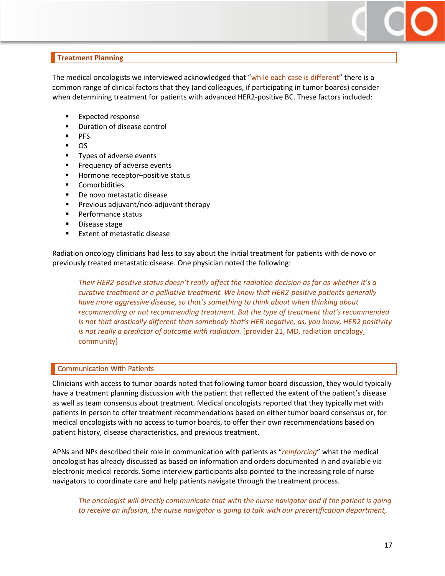## <span id="page-16-0"></span>**Treatment Planning**

The medical oncologists we interviewed acknowledged that "while each case is different" there is a common range of clinical factors that they (and colleagues, if participating in tumor boards) consider when determining treatment for patients with advanced HER2-positive BC. These factors included:

- Expected response
- **•** Duration of disease control
- $PFS$
- $\overline{\phantom{0}}$   $\overline{\phantom{0}}$
- **Types of adverse events**
- Frequency of adverse events
- Hormone receptor-positive status
- **•** Comorbidities
- **•** De novo metastatic disease
- **Previous adjuvant/neo-adjuvant therapy**
- **Performance status**
- **Disease stage**
- **Extent of metastatic disease**

Radiation oncology clinicians had less to say about the initial treatment for patients with de novo or previously treated metastatic disease. One physician noted the following:

*Their HER2-positive status doesn't really affect the radiation decision as far as whether it's a curative treatment or a palliative treatment. We know that HER2-positive patients generally have more aggressive disease, so that's something to think about when thinking about recommending or not recommending treatment. But the type of treatment that's recommended is not that drastically different than somebody that's HER negative, as, you know, HER2 positivity is not really a predictor of outcome with radiation*. [provider 21, MD, radiation oncology, community]

#### <span id="page-16-1"></span>Communication With Patients

Clinicians with access to tumor boards noted that following tumor board discussion, they would typically have a treatment planning discussion with the patient that reflected the extent of the patient's disease as well as team consensus about treatment. Medical oncologists reported that they typically met with patients in person to offer treatment recommendations based on either tumor board consensus or, for medical oncologists with no access to tumor boards, to offer their own recommendations based on patient history, disease characteristics, and previous treatment.

APNs and NPs described their role in communication with patients as "*reinforcing*" what the medical oncologist has already discussed as based on information and orders documented in and available via electronic medical records. Some interview participants also pointed to the increasing role of nurse navigators to coordinate care and help patients navigate through the treatment process.

*The oncologist will directly communicate that with the nurse navigator and if the patient is going*  to receive an infusion, the nurse navigator is going to talk with our precertification department,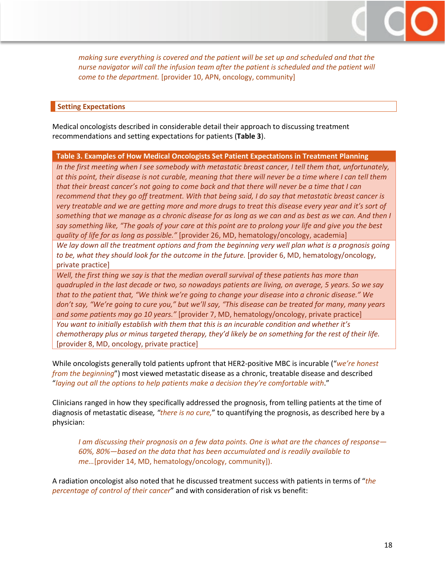

*making sure everything is covered and the patient will be set up and scheduled and that the nurse navigator will call the infusion team after the patient is scheduled and the patient will come to the department.* [provider 10, APN, oncology, community]

#### <span id="page-17-0"></span>**Setting Expectations**

Medical oncologists described in considerable detail their approach to discussing treatment recommendations and setting expectations for patients (**Table 3**).

#### **Table 3. Examples of How Medical Oncologists Set Patient Expectations in Treatment Planning**

*In the first meeting when I see somebody with metastatic breast cancer, I tell them that, unfortunately, at this point, their disease is not curable, meaning that there will never be a time where I can tell them that their breast cancer's not going to come back and that there will never be a time that I can recommend that they go off treatment. With that being said, I do say that metastatic breast cancer is very treatable and we are getting more and more drugs to treat this disease every year and it's sort of something that we manage as a chronic disease for as long as we can and as best as we can. And then I say something like, "The goals of your care at this point are to prolong your life and give you the best quality of life for as long as possible."* [provider 26, MD, hematology/oncology, academia]

*We lay down all the treatment options and from the beginning very well plan what is a prognosis going*  to be, what they should look for the outcome in the future. [provider 6, MD, hematology/oncology, private practice]

*Well, the first thing we say is that the median overall survival of these patients has more than quadrupled in the last decade or two, so nowadays patients are living, on average, 5 years. So we say that to the patient that, "We think we're going to change your disease into a chronic disease." We don't say, "We're going to cure you," but we'll say, "This disease can be treated for many, many years and some patients may go 10 years."* [provider 7, MD, hematology/oncology, private practice] *You want to initially establish with them that this is an incurable condition and whether it's chemotherapy plus or minus targeted therapy, they'd likely be on something for the rest of their life.*  [provider 8, MD, oncology, private practice]

While oncologists generally told patients upfront that HER2-positive MBC is incurable ("*we're honest from the beginning*") most viewed metastatic disease as a chronic, treatable disease and described "*laying out all the options to help patients make a decision they're comfortable with*."

Clinicians ranged in how they specifically addressed the prognosis, from telling patients at the time of diagnosis of metastatic disease*, "there is no cure,*" to quantifying the prognosis, as described here by a physician:

*I am discussing their prognosis on a few data points. One is what are the chances of response— 60%, 80%—based on the data that has been accumulated and is readily available to me…*[provider 14, MD, hematology/oncology, community]).

A radiation oncologist also noted that he discussed treatment success with patients in terms of "*the percentage of control of their cancer*" and with consideration of risk vs benefit: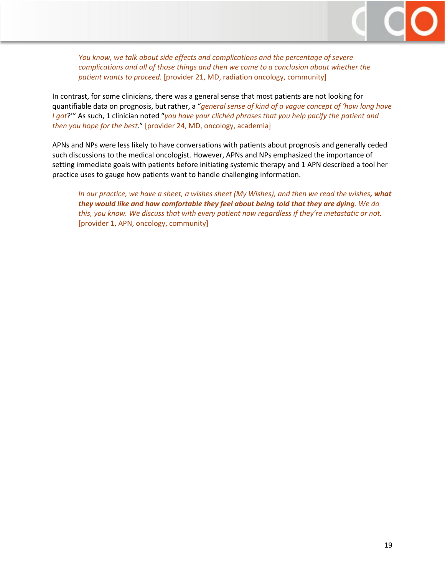

*You know, we talk about side effects and complications and the percentage of severe complications and all of those things and then we come to a conclusion about whether the patient wants to proceed.* [provider 21, MD, radiation oncology, community]

In contrast, for some clinicians, there was a general sense that most patients are not looking for quantifiable data on prognosis, but rather, a "*general sense of kind of a vague concept of 'how long have I got*?'" As such, 1 clinician noted "*you have your clichéd phrases that you help pacify the patient and then you hope for the best.*" [provider 24, MD, oncology, academia]

APNs and NPs were less likely to have conversations with patients about prognosis and generally ceded such discussions to the medical oncologist. However, APNs and NPs emphasized the importance of setting immediate goals with patients before initiating systemic therapy and 1 APN described a tool her practice uses to gauge how patients want to handle challenging information.

*In our practice, we have a sheet, a wishes sheet (My Wishes), and then we read the wishes, what they would like and how comfortable they feel about being told that they are dying. We do this, you know. We discuss that with every patient now regardless if they're metastatic or not.* [provider 1, APN, oncology, community]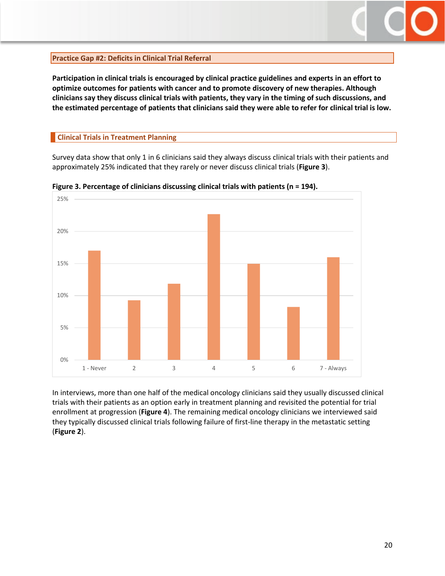

#### <span id="page-19-0"></span>**Practice Gap #2: Deficits in Clinical Trial Referral**

**Participation in clinical trials is encouraged by clinical practice guidelines and experts in an effort to optimize outcomes for patients with cancer and to promote discovery of new therapies. Although clinicians say they discuss clinical trials with patients, they vary in the timing of such discussions, and the estimated percentage of patients that clinicians said they were able to refer for clinical trial is low.** 

#### <span id="page-19-1"></span>**Clinical Trials in Treatment Planning**

Survey data show that only 1 in 6 clinicians said they always discuss clinical trials with their patients and approximately 25% indicated that they rarely or never discuss clinical trials (**Figure 3**).



**Figure 3. Percentage of clinicians discussing clinical trials with patients (n = 194).**

In interviews, more than one half of the medical oncology clinicians said they usually discussed clinical trials with their patients as an option early in treatment planning and revisited the potential for trial enrollment at progression (**Figure 4**). The remaining medical oncology clinicians we interviewed said they typically discussed clinical trials following failure of first-line therapy in the metastatic setting (**Figure 2**).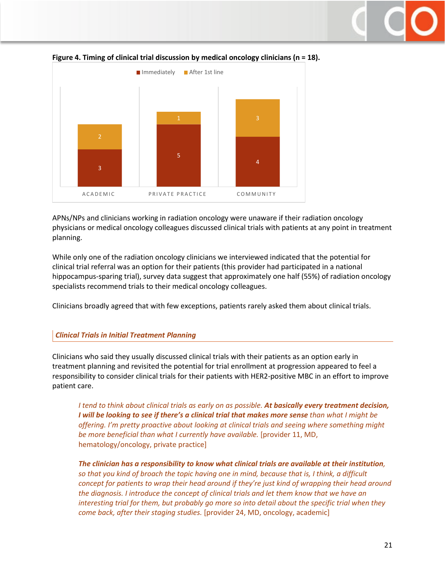# 3 5 4 1 3 ACADEMIC PRIVATE PRACTICE COMMUNITY ■ Immediately ■ After 1st line

#### **Figure 4. Timing of clinical trial discussion by medical oncology clinicians (n = 18).**

APNs/NPs and clinicians working in radiation oncology were unaware if their radiation oncology physicians or medical oncology colleagues discussed clinical trials with patients at any point in treatment planning.

While only one of the radiation oncology clinicians we interviewed indicated that the potential for clinical trial referral was an option for their patients (this provider had participated in a national hippocampus-sparing trial), survey data suggest that approximately one half (55%) of radiation oncology specialists recommend trials to their medical oncology colleagues.

Clinicians broadly agreed that with few exceptions, patients rarely asked them about clinical trials.

## *Clinical Trials in Initial Treatment Planning*

Clinicians who said they usually discussed clinical trials with their patients as an option early in treatment planning and revisited the potential for trial enrollment at progression appeared to feel a responsibility to consider clinical trials for their patients with HER2-positive MBC in an effort to improve patient care.

*I tend to think about clinical trials as early on as possible. At basically every treatment decision, I will be looking to see if there's a clinical trial that makes more sense than what I might be offering. I'm pretty proactive about looking at clinical trials and seeing where something might be more beneficial than what I currently have available.* [provider 11, MD, hematology/oncology, private practice]

*The clinician has a responsibility to know what clinical trials are available at their institution, so that you kind of broach the topic having one in mind, because that is, I think, a difficult concept for patients to wrap their head around if they're just kind of wrapping their head around the diagnosis. I introduce the concept of clinical trials and let them know that we have an interesting trial for them, but probably go more so into detail about the specific trial when they come back, after their staging studies.* [provider 24, MD, oncology, academic]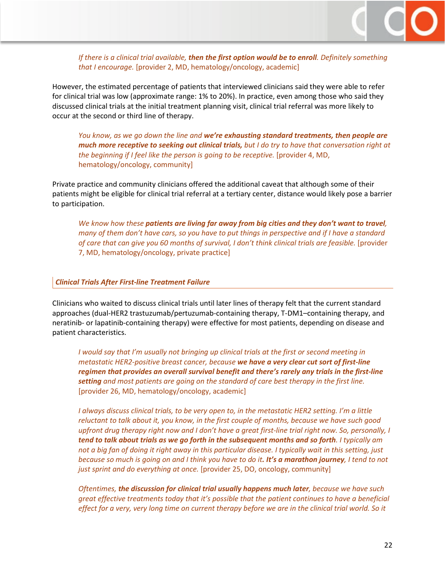

*If there is a clinical trial available, then the first option would be to enroll. Definitely something that I encourage.* [provider 2, MD, hematology/oncology, academic]

However, the estimated percentage of patients that interviewed clinicians said they were able to refer for clinical trial was low (approximate range: 1% to 20%). In practice, even among those who said they discussed clinical trials at the initial treatment planning visit, clinical trial referral was more likely to occur at the second or third line of therapy.

*You know, as we go down the line and we're exhausting standard treatments, then people are much more receptive to seeking out clinical trials, but I do try to have that conversation right at* the beginning if I feel like the person is going to be receptive. [provider 4, MD, hematology/oncology, community]

Private practice and community clinicians offered the additional caveat that although some of their patients might be eligible for clinical trial referral at a tertiary center, distance would likely pose a barrier to participation.

*We know how these patients are living far away from big cities and they don't want to travel, many of them don't have cars, so you have to put things in perspective and if I have a standard of care that can give you 60 months of survival, I don't think clinical trials are feasible.* [provider 7, MD, hematology/oncology, private practice]

#### *Clinical Trials After First-line Treatment Failure*

Clinicians who waited to discuss clinical trials until later lines of therapy felt that the current standard approaches (dual-HER2 trastuzumab/pertuzumab-containing therapy, T-DM1–containing therapy, and neratinib- or lapatinib-containing therapy) were effective for most patients, depending on disease and patient characteristics.

*I would say that I'm usually not bringing up clinical trials at the first or second meeting in metastatic HER2-positive breast cancer, because we have a very clear cut sort of first-line regimen that provides an overall survival benefit and there's rarely any trials in the first-line setting and most patients are going on the standard of care best therapy in the first line.*  [provider 26, MD, hematology/oncology, academic]

*I always discuss clinical trials, to be very open to, in the metastatic HER2 setting. I'm a little reluctant to talk about it, you know, in the first couple of months, because we have such good upfront drug therapy right now and I don't have a great first-line trial right now. So, personally, I tend to talk about trials as we go forth in the subsequent months and so forth. I typically am not a big fan of doing it right away in this particular disease. I typically wait in this setting, just because so much is going on and I think you have to do it. It's a marathon journey, I tend to not just sprint and do everything at once.* [provider 25, DO, oncology, community]

*Oftentimes, the discussion for clinical trial usually happens much later, because we have such great effective treatments today that it's possible that the patient continues to have a beneficial effect for a very, very long time on current therapy before we are in the clinical trial world. So it*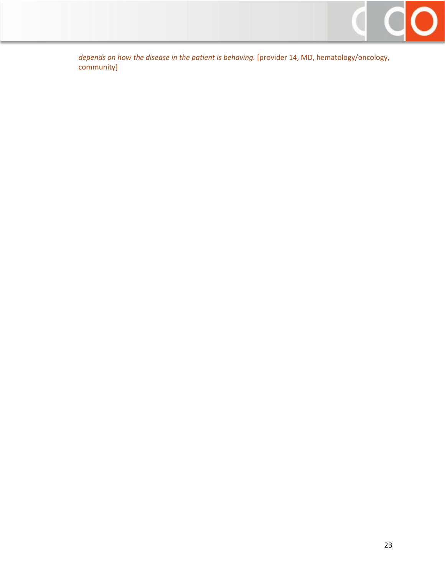

*depends on how the disease in the patient is behaving.* [provider 14, MD, hematology/oncology, community]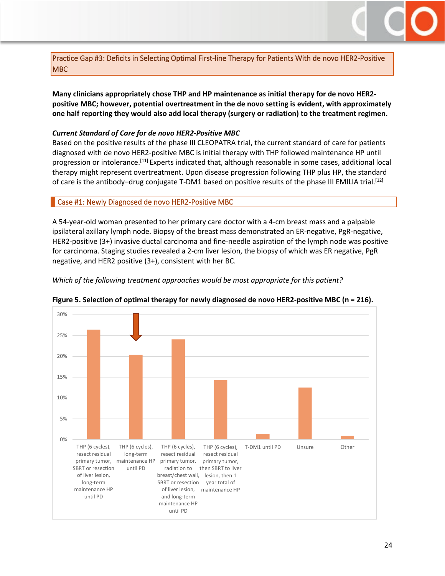

<span id="page-23-0"></span>Practice Gap #3: Deficits in Selecting Optimal First-line Therapy for Patients With de novo HER2-Positive MBC

**Many clinicians appropriately chose THP and HP maintenance as initial therapy for de novo HER2 positive MBC; however, potential overtreatment in the de novo setting is evident, with approximately one half reporting they would also add local therapy (surgery or radiation) to the treatment regimen.**

#### *Current Standard of Care for de novo HER2-Positive MBC*

Based on the positive results of the phase III CLEOPATRA trial, the current standard of care for patients diagnosed with de novo HER2-positive MBC is initial therapy with THP followed maintenance HP until progression or intolerance.<sup>[11]</sup> Experts indicated that, although reasonable in some cases, additional local therapy might represent overtreatment. Upon disease progression following THP plus HP, the standard of care is the antibody-drug conjugate T-DM1 based on positive results of the phase III EMILIA trial.<sup>[12]</sup>

#### <span id="page-23-1"></span>Case #1: Newly Diagnosed de novo HER2-Positive MBC

A 54-year-old woman presented to her primary care doctor with a 4-cm breast mass and a palpable ipsilateral axillary lymph node. Biopsy of the breast mass demonstrated an ER-negative, PgR-negative, HER2-positive (3+) invasive ductal carcinoma and fine-needle aspiration of the lymph node was positive for carcinoma. Staging studies revealed a 2-cm liver lesion, the biopsy of which was ER negative, PgR negative, and HER2 positive (3+), consistent with her BC.

*Which of the following treatment approaches would be most appropriate for this patient?*



**Figure 5. Selection of optimal therapy for newly diagnosed de novo HER2-positive MBC (n = 216).**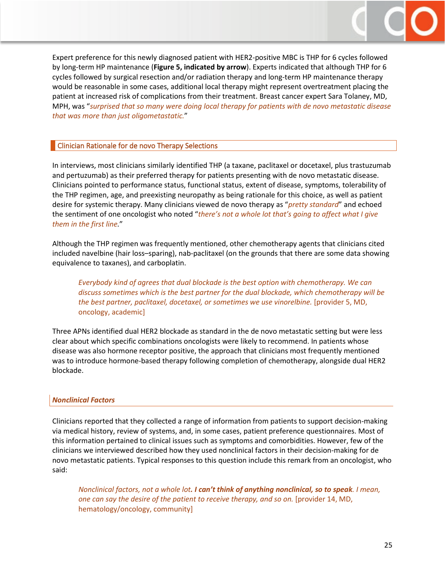

Expert preference for this newly diagnosed patient with HER2-positive MBC is THP for 6 cycles followed by long-term HP maintenance (**Figure 5, indicated by arrow**). Experts indicated that although THP for 6 cycles followed by surgical resection and/or radiation therapy and long-term HP maintenance therapy would be reasonable in some cases, additional local therapy might represent overtreatment placing the patient at increased risk of complications from their treatment. Breast cancer expert Sara Tolaney, MD, MPH, was "*surprised that so many were doing local therapy for patients with de novo metastatic disease that was more than just oligometastatic.*"

#### <span id="page-24-0"></span>Clinician Rationale for de novo Therapy Selections

In interviews, most clinicians similarly identified THP (a taxane, paclitaxel or docetaxel, plus trastuzumab and pertuzumab) as their preferred therapy for patients presenting with de novo metastatic disease. Clinicians pointed to performance status, functional status, extent of disease, symptoms, tolerability of the THP regimen, age, and preexisting neuropathy as being rationale for this choice, as well as patient desire for systemic therapy. Many clinicians viewed de novo therapy as "*pretty standard*" and echoed the sentiment of one oncologist who noted "*there's not a whole lot that's going to affect what I give them in the first line.*"

Although the THP regimen was frequently mentioned, other chemotherapy agents that clinicians cited included navelbine (hair loss–sparing), nab-paclitaxel (on the grounds that there are some data showing equivalence to taxanes), and carboplatin.

*Everybody kind of agrees that dual blockade is the best option with chemotherapy. We can discuss sometimes which is the best partner for the dual blockade, which chemotherapy will be the best partner, paclitaxel, docetaxel, or sometimes we use vinorelbine.* [provider 5, MD, oncology, academic]

Three APNs identified dual HER2 blockade as standard in the de novo metastatic setting but were less clear about which specific combinations oncologists were likely to recommend. In patients whose disease was also hormone receptor positive, the approach that clinicians most frequently mentioned was to introduce hormone-based therapy following completion of chemotherapy, alongside dual HER2 blockade.

#### *Nonclinical Factors*

Clinicians reported that they collected a range of information from patients to support decision-making via medical history, review of systems, and, in some cases, patient preference questionnaires. Most of this information pertained to clinical issues such as symptoms and comorbidities. However, few of the clinicians we interviewed described how they used nonclinical factors in their decision-making for de novo metastatic patients. Typical responses to this question include this remark from an oncologist, who said:

*Nonclinical factors, not a whole lot. I can't think of anything nonclinical, so to speak. I mean, one can say the desire of the patient to receive therapy, and so on.* [provider 14, MD, hematology/oncology, community]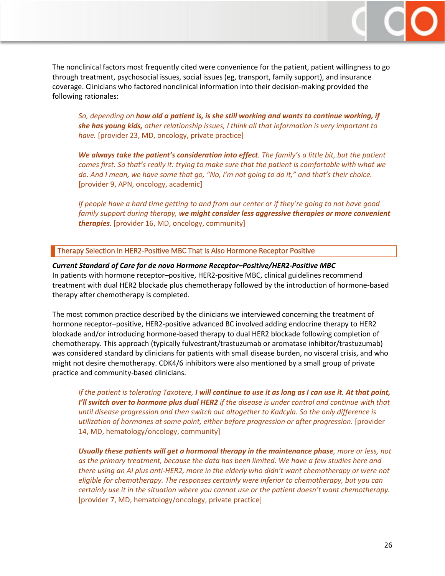The nonclinical factors most frequently cited were convenience for the patient, patient willingness to go through treatment, psychosocial issues, social issues (eg, transport, family support), and insurance coverage. Clinicians who factored nonclinical information into their decision-making provided the following rationales:

*So, depending on how old a patient is, is she still working and wants to continue working, if she has young kids, other relationship issues, I think all that information is very important to have.* [provider 23, MD, oncology, private practice]

*We always take the patient's consideration into effect. The family's a little bit, but the patient comes first. So that's really it: trying to make sure that the patient is comfortable with what we do. And I mean, we have some that go, "No, I'm not going to do it," and that's their choice.*  [provider 9, APN, oncology, academic]

*If people have a hard time getting to and from our center or if they're going to not have good family support during therapy, we might consider less aggressive therapies or more convenient therapies.* [provider 16, MD, oncology, community]

#### <span id="page-25-0"></span>Therapy Selection in HER2-Positive MBC That Is Also Hormone Receptor Positive

*Current Standard of Care for de novo Hormone Receptor–Positive/HER2-Positive MBC* In patients with hormone receptor–positive, HER2-positive MBC, clinical guidelines recommend treatment with dual HER2 blockade plus chemotherapy followed by the introduction of hormone-based therapy after chemotherapy is completed.

The most common practice described by the clinicians we interviewed concerning the treatment of hormone receptor–positive, HER2-positive advanced BC involved adding endocrine therapy to HER2 blockade and/or introducing hormone-based therapy to dual HER2 blockade following completion of chemotherapy. This approach (typically fulvestrant/trastuzumab or aromatase inhibitor/trastuzumab) was considered standard by clinicians for patients with small disease burden, no visceral crisis, and who might not desire chemotherapy. CDK4/6 inhibitors were also mentioned by a small group of private practice and community-based clinicians.

*If the patient is tolerating Taxotere, I will continue to use it as long as I can use it. At that point, I'll switch over to hormone plus dual HER2 if the disease is under control and continue with that until disease progression and then switch out altogether to Kadcyla. So the only difference is utilization of hormones at some point, either before progression or after progression.* [provider 14, MD, hematology/oncology, community]

*Usually these patients will get a hormonal therapy in the maintenance phase, more or less, not as the primary treatment, because the data has been limited. We have a few studies here and there using an AI plus anti-HER2, more in the elderly who didn't want chemotherapy or were not eligible for chemotherapy. The responses certainly were inferior to chemotherapy, but you can certainly use it in the situation where you cannot use or the patient doesn't want chemotherapy.* [provider 7, MD, hematology/oncology, private practice]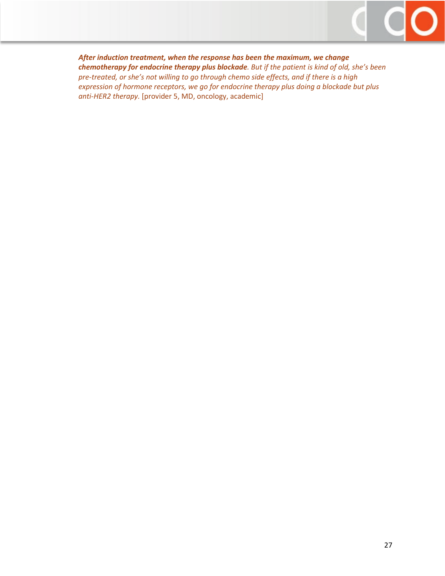

*After induction treatment, when the response has been the maximum, we change chemotherapy for endocrine therapy plus blockade. But if the patient is kind of old, she's been pre-treated, or she's not willing to go through chemo side effects, and if there is a high expression of hormone receptors, we go for endocrine therapy plus doing a blockade but plus anti-HER2 therapy.* [provider 5, MD, oncology, academic]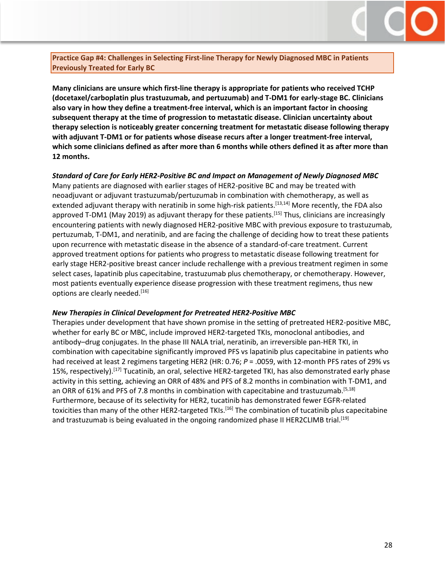

<span id="page-27-0"></span>**Practice Gap #4: Challenges in Selecting First-line Therapy for Newly Diagnosed MBC in Patients Previously Treated for Early BC**

**Many clinicians are unsure which first-line therapy is appropriate for patients who received TCHP (docetaxel/carboplatin plus trastuzumab, and pertuzumab) and T-DM1 for early-stage BC. Clinicians also vary in how they define a treatment-free interval, which is an important factor in choosing subsequent therapy at the time of progression to metastatic disease. Clinician uncertainty about therapy selection is noticeably greater concerning treatment for metastatic disease following therapy with adjuvant T-DM1 or for patients whose disease recurs after a longer treatment-free interval, which some clinicians defined as after more than 6 months while others defined it as after more than 12 months.**

#### *Standard of Care for Early HER2-Positive BC and Impact on Management of Newly Diagnosed MBC*

Many patients are diagnosed with earlier stages of HER2-positive BC and may be treated with neoadjuvant or adjuvant trastuzumab/pertuzumab in combination with chemotherapy, as well as extended adjuvant therapy with neratinib in some high-risk patients.<sup>[13,14]</sup> More recently, the FDA also approved T-DM1 (May 2019) as adjuvant therapy for these patients.<sup>[15]</sup> Thus, clinicians are increasingly encountering patients with newly diagnosed HER2-positive MBC with previous exposure to trastuzumab, pertuzumab, T-DM1, and neratinib, and are facing the challenge of deciding how to treat these patients upon recurrence with metastatic disease in the absence of a standard-of-care treatment. Current approved treatment options for patients who progress to metastatic disease following treatment for early stage HER2-positive breast cancer include rechallenge with a previous treatment regimen in some select cases, lapatinib plus capecitabine, trastuzumab plus chemotherapy, or chemotherapy. However, most patients eventually experience disease progression with these treatment regimens, thus new options are clearly needed.<sup>[16]</sup>

#### *New Therapies in Clinical Development for Pretreated HER2-Positive MBC*

Therapies under development that have shown promise in the setting of pretreated HER2-positive MBC, whether for early BC or MBC, include improved HER2-targeted TKIs, monoclonal antibodies, and antibody–drug conjugates. In the phase III NALA trial, neratinib, an irreversible pan-HER TKI, in combination with capecitabine significantly improved PFS vs lapatinib plus capecitabine in patients who had received at least 2 regimens targeting HER2 (HR: 0.76;  $P = 0.0059$ , with 12-month PFS rates of 29% vs 15%, respectively).<sup>[17]</sup> Tucatinib, an oral, selective HER2-targeted TKI, has also demonstrated early phase activity in this setting, achieving an ORR of 48% and PFS of 8.2 months in combination with T-DM1, and an ORR of 61% and PFS of 7.8 months in combination with capecitabine and trastuzumab.<sup>[5,18]</sup> Furthermore, because of its selectivity for HER2, tucatinib has demonstrated fewer EGFR-related toxicities than many of the other HER2-targeted TKIs.<sup>[16]</sup> The combination of tucatinib plus capecitabine and trastuzumab is being evaluated in the ongoing randomized phase II HER2CLIMB trial.<sup>[19]</sup>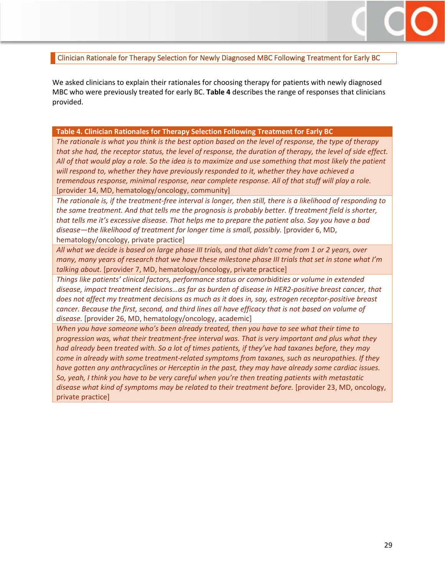#### <span id="page-28-0"></span>Clinician Rationale for Therapy Selection for Newly Diagnosed MBC Following Treatment for Early BC

We asked clinicians to explain their rationales for choosing therapy for patients with newly diagnosed MBC who were previously treated for early BC. **Table 4** describes the range of responses that clinicians provided.

#### **Table 4. Clinician Rationales for Therapy Selection Following Treatment for Early BC**

*The rationale is what you think is the best option based on the level of response, the type of therapy that she had, the receptor status, the level of response, the duration of therapy, the level of side effect. All of that would play a role. So the idea is to maximize and use something that most likely the patient will respond to, whether they have previously responded to it, whether they have achieved a tremendous response, minimal response, near complete response. All of that stuff will play a role.*  [provider 14, MD, hematology/oncology, community]

*The rationale is, if the treatment-free interval is longer, then still, there is a likelihood of responding to the same treatment. And that tells me the prognosis is probably better. If treatment field is shorter, that tells me it's excessive disease. That helps me to prepare the patient also. Say you have a bad*  disease—the likelihood of treatment for longer time is small, possibly. [provider 6, MD, hematology/oncology, private practice]

*All what we decide is based on large phase III trials, and that didn't come from 1 or 2 years, over many, many years of research that we have these milestone phase III trials that set in stone what I'm talking about.* [provider 7, MD, hematology/oncology, private practice]

*Things like patients' clinical factors, performance status or comorbidities or volume in extended disease, impact treatment decisions…as far as burden of disease in HER2-positive breast cancer, that does not affect my treatment decisions as much as it does in, say, estrogen receptor-positive breast cancer. Because the first, second, and third lines all have efficacy that is not based on volume of disease.* [provider 26, MD, hematology/oncology, academic]

*When you have someone who's been already treated, then you have to see what their time to progression was, what their treatment-free interval was. That is very important and plus what they had already been treated with. So a lot of times patients, if they've had taxanes before, they may come in already with some treatment-related symptoms from taxanes, such as neuropathies. If they have gotten any anthracyclines or Herceptin in the past, they may have already some cardiac issues. So, yeah, I think you have to be very careful when you're then treating patients with metastatic disease what kind of symptoms may be related to their treatment before.* [provider 23, MD, oncology, private practice]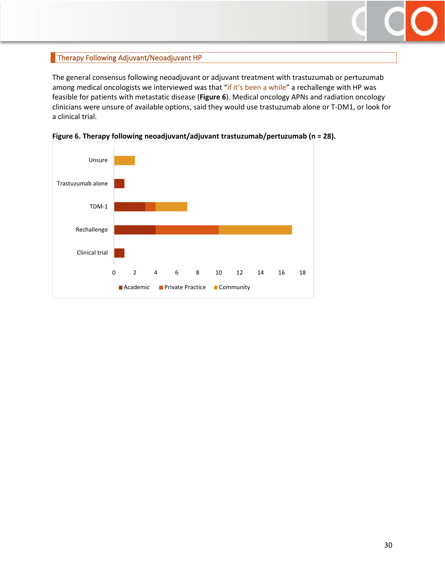## <span id="page-29-0"></span>Therapy Following Adjuvant/Neoadjuvant HP

The general consensus following neoadjuvant or adjuvant treatment with trastuzumab or pertuzumab among medical oncologists we interviewed was that "if it's been a while" a rechallenge with HP was feasible for patients with metastatic disease (**Figure 6**). Medical oncology APNs and radiation oncology clinicians were unsure of available options, said they would use trastuzumab alone or T-DM1, or look for a clinical trial.



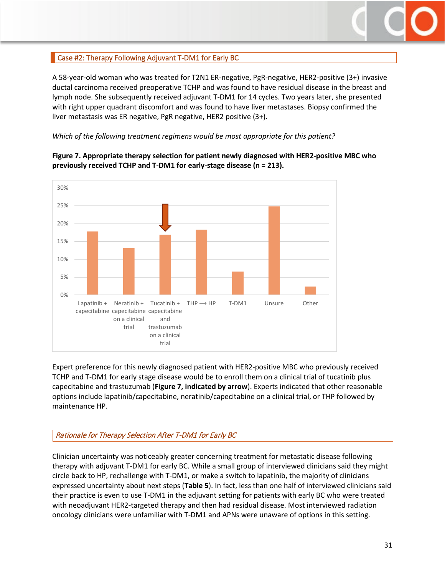

## <span id="page-30-0"></span>Case #2: Therapy Following Adjuvant T-DM1 for Early BC

A 58-year-old woman who was treated for T2N1 ER-negative, PgR-negative, HER2-positive (3+) invasive ductal carcinoma received preoperative TCHP and was found to have residual disease in the breast and lymph node. She subsequently received adjuvant T-DM1 for 14 cycles. Two years later, she presented with right upper quadrant discomfort and was found to have liver metastases. Biopsy confirmed the liver metastasis was ER negative, PgR negative, HER2 positive (3+).

*Which of the following treatment regimens would be most appropriate for this patient?*



## **Figure 7. Appropriate therapy selection for patient newly diagnosed with HER2-positive MBC who previously received TCHP and T-DM1 for early-stage disease (n = 213).**

Expert preference for this newly diagnosed patient with HER2-positive MBC who previously received TCHP and T-DM1 for early stage disease would be to enroll them on a clinical trial of tucatinib plus capecitabine and trastuzumab (**Figure 7, indicated by arrow**). Experts indicated that other reasonable options include lapatinib/capecitabine, neratinib/capecitabine on a clinical trial, or THP followed by maintenance HP.

## Rationale for Therapy Selection After T-DM1 for Early BC

Clinician uncertainty was noticeably greater concerning treatment for metastatic disease following therapy with adjuvant T-DM1 for early BC. While a small group of interviewed clinicians said they might circle back to HP, rechallenge with T-DM1, or make a switch to lapatinib, the majority of clinicians expressed uncertainty about next steps (**Table 5**). In fact, less than one half of interviewed clinicians said their practice is even to use T-DM1 in the adjuvant setting for patients with early BC who were treated with neoadjuvant HER2-targeted therapy and then had residual disease. Most interviewed radiation oncology clinicians were unfamiliar with T-DM1 and APNs were unaware of options in this setting.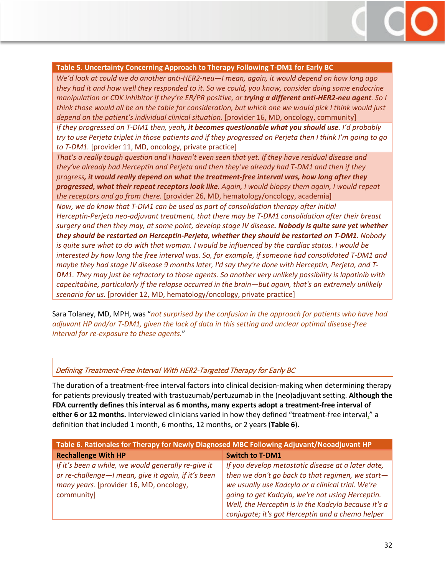#### **Table 5. Uncertainty Concerning Approach to Therapy Following T-DM1 for Early BC**

*We'd look at could we do another anti-HER2-neu—I mean, again, it would depend on how long ago they had it and how well they responded to it. So we could, you know, consider doing some endocrine manipulation or CDK inhibitor if they're ER/PR positive, or trying a different anti-HER2-neu agent. So I think those would all be on the table for consideration, but which one we would pick I think would just depend on the patient's individual clinical situation*. [provider 16, MD, oncology, community]

*If they progressed on T-DM1 then, yeah, it becomes questionable what you should use. I'd probably try to use Perjeta triplet in those patients and if they progressed on Perjeta then I think I'm going to go to T-DM1.* [provider 11, MD, oncology, private practice]

*That's a really tough question and I haven't even seen that yet. If they have residual disease and they've already had Herceptin and Perjeta and then they've already had T-DM1 and then if they progress, it would really depend on what the treatment-free interval was, how long after they progressed, what their repeat receptors look like. Again, I would biopsy them again, I would repeat the receptors and go from there.* [provider 26, MD, hematology/oncology, academia]

*Now, we do know that T-DM1 can be used as part of consolidation therapy after initial Herceptin-Perjeta neo-adjuvant treatment, that there may be T-DM1 consolidation after their breast surgery and then they may, at some point, develop stage IV disease. Nobody is quite sure yet whether they should be restarted on Herceptin-Perjeta, whether they should be restarted on T-DM1. Nobody is quite sure what to do with that woman. I would be influenced by the cardiac status. I would be interested by how long the free interval was. So, for example, if someone had consolidated T-DM1 and maybe they had stage IV disease 9 months later, I'd say they're done with Herceptin, Perjeta, and T-DM1. They may just be refractory to those agents. So another very unlikely possibility is lapatinib with capecitabine, particularly if the relapse occurred in the brain—but again, that's an extremely unlikely scenario for us.* [provider 12, MD, hematology/oncology, private practice]

Sara Tolaney, MD, MPH, was "*not surprised by the confusion in the approach for patients who have had adjuvant HP and/or T-DM1, given the lack of data in this setting and unclear optimal disease-free interval for re-exposure to these agents.*"

## Defining Treatment-Free Interval With HER2-Targeted Therapy for Early BC

The duration of a treatment-free interval factors into clinical decision-making when determining therapy for patients previously treated with trastuzumab/pertuzumab in the (neo)adjuvant setting. **Although the FDA currently defines this interval as 6 months, many experts adopt a treatment-free interval of either 6 or 12 months.** Interviewed clinicians varied in how they defined "treatment-free interval," a definition that included 1 month, 6 months, 12 months, or 2 years (**Table 6**).

| Table 6. Rationales for Therapy for Newly Diagnosed MBC Following Adjuvant/Neoadjuvant HP |                                                      |  |  |  |
|-------------------------------------------------------------------------------------------|------------------------------------------------------|--|--|--|
| <b>Rechallenge With HP</b>                                                                | <b>Switch to T-DM1</b>                               |  |  |  |
| If it's been a while, we would generally re-give it                                       | If you develop metastatic disease at a later date,   |  |  |  |
| or re-challenge - I mean, give it again, if it's been                                     | then we don't go back to that regimen, we start-     |  |  |  |
| many years. [provider 16, MD, oncology,                                                   | we usually use Kadcyla or a clinical trial. We're    |  |  |  |
| community]                                                                                | going to get Kadcyla, we're not using Herceptin.     |  |  |  |
|                                                                                           | Well, the Herceptin is in the Kadcyla because it's a |  |  |  |
|                                                                                           | conjugate; it's got Herceptin and a chemo helper     |  |  |  |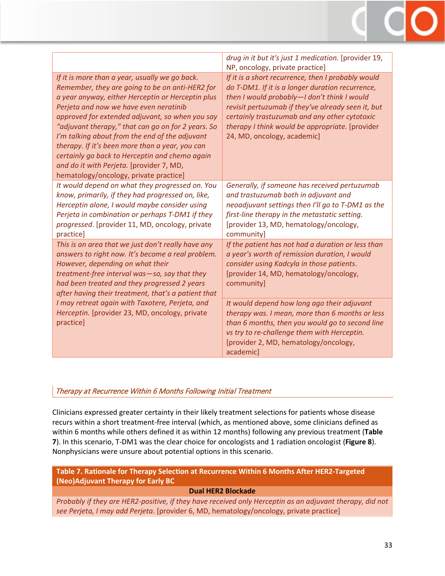|                                                                                                                                                                                                                                                                                                                                                                                                                                                                                                                                                        | drug in it but it's just 1 medication. [provider 19,<br>NP, oncology, private practice]                                                                                                                                                                                                                                                        |
|--------------------------------------------------------------------------------------------------------------------------------------------------------------------------------------------------------------------------------------------------------------------------------------------------------------------------------------------------------------------------------------------------------------------------------------------------------------------------------------------------------------------------------------------------------|------------------------------------------------------------------------------------------------------------------------------------------------------------------------------------------------------------------------------------------------------------------------------------------------------------------------------------------------|
| If it is more than a year, usually we go back.<br>Remember, they are going to be on anti-HER2 for<br>a year anyway, either Herceptin or Herceptin plus<br>Perjeta and now we have even neratinib<br>approved for extended adjuvant, so when you say<br>"adjuvant therapy," that can go on for 2 years. So<br>I'm talking about from the end of the adjuvant<br>therapy. If it's been more than a year, you can<br>certainly go back to Herceptin and chemo again<br>and do it with Perjeta. [provider 7, MD,<br>hematology/oncology, private practice] | If it is a short recurrence, then I probably would<br>do T-DM1. If it is a longer duration recurrence,<br>then I would probably-I don't think I would<br>revisit pertuzumab if they've already seen it, but<br>certainly trastuzumab and any other cytotoxic<br>therapy I think would be appropriate. [provider<br>24, MD, oncology, academic] |
| It would depend on what they progressed on. You<br>know, primarily, if they had progressed on, like,<br>Herceptin alone, I would maybe consider using<br>Perjeta in combination or perhaps T-DM1 if they<br>progressed. [provider 11, MD, oncology, private<br>practice]                                                                                                                                                                                                                                                                               | Generally, if someone has received pertuzumab<br>and trastuzumab both in adjuvant and<br>neoadjuvant settings then I'll go to T-DM1 as the<br>first-line therapy in the metastatic setting.<br>[provider 13, MD, hematology/oncology,<br>community]                                                                                            |
| This is an area that we just don't really have any<br>answers to right now. It's become a real problem.<br>However, depending on what their<br>treatment-free interval was-so, say that they<br>had been treated and they progressed 2 years<br>after having their treatment, that's a patient that                                                                                                                                                                                                                                                    | If the patient has not had a duration or less than<br>a year's worth of remission duration, I would<br>consider using Kadcyla in those patients.<br>[provider 14, MD, hematology/oncology,<br>community]                                                                                                                                       |
| I may retreat again with Taxotere, Perjeta, and<br>Herceptin. [provider 23, MD, oncology, private<br>practice]                                                                                                                                                                                                                                                                                                                                                                                                                                         | It would depend how long ago their adjuvant<br>therapy was. I mean, more than 6 months or less<br>than 6 months, then you would go to second line<br>vs try to re-challenge them with Herceptin.<br>[provider 2, MD, hematology/oncology,<br>academic]                                                                                         |

## Therapy at Recurrence Within 6 Months Following Initial Treatment

Clinicians expressed greater certainty in their likely treatment selections for patients whose disease recurs within a short treatment-free interval (which, as mentioned above, some clinicians defined as within 6 months while others defined it as within 12 months) following any previous treatment (**Table 7**). In this scenario, T-DM1 was the clear choice for oncologists and 1 radiation oncologist (**Figure 8**). Nonphysicians were unsure about potential options in this scenario.

**Table 7. Rationale for Therapy Selection at Recurrence Within 6 Months After HER2-Targeted (Neo)Adjuvant Therapy for Early BC**

## **Dual HER2 Blockade**

*Probably if they are HER2-positive, if they have received only Herceptin as an adjuvant therapy, did not see Perjeta, I may add Perjeta*. [provider 6, MD, hematology/oncology, private practice]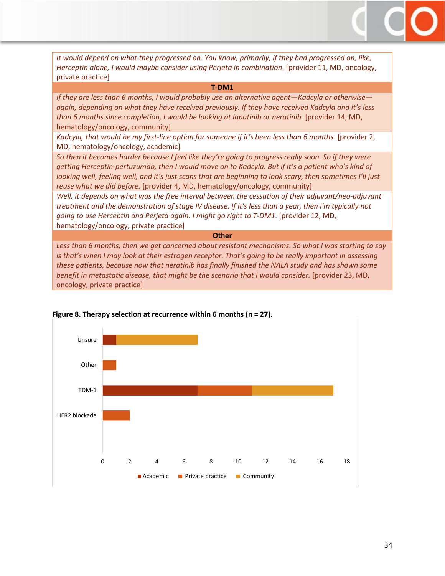*It would depend on what they progressed on. You know, primarily, if they had progressed on, like, Herceptin alone, I would maybe consider using Perjeta in combination*. [provider 11, MD, oncology, private practice]

#### **T-DM1**

*If they are less than 6 months, I would probably use an alternative agent—Kadcyla or otherwise again, depending on what they have received previously. If they have received Kadcyla and it's less than 6 months since completion, I would be looking at lapatinib or neratinib.* [provider 14, MD, hematology/oncology, community]

*Kadcyla, that would be my first-line option for someone if it's been less than 6 months*. [provider 2, MD, hematology/oncology, academic]

*So then it becomes harder because I feel like they're going to progress really soon. So if they were getting Herceptin-pertuzumab, then I would move on to Kadcyla. But if it's a patient who's kind of looking well, feeling well, and it's just scans that are beginning to look scary, then sometimes I'll just reuse what we did before.* [provider 4, MD, hematology/oncology, community]

*Well, it depends on what was the free interval between the cessation of their adjuvant/neo-adjuvant treatment and the demonstration of stage IV disease. If it's less than a year, then I'm typically not going to use Herceptin and Perjeta again. I might go right to T-DM1*. [provider 12, MD, hematology/oncology, private practice]

#### **Other**

*Less than 6 months, then we get concerned about resistant mechanisms. So what I was starting to say is that's when I may look at their estrogen receptor. That's going to be really important in assessing these patients, because now that neratinib has finally finished the NALA study and has shown some benefit in metastatic disease, that might be the scenario that I would consider.* [provider 23, MD, oncology, private practice]



#### **Figure 8. Therapy selection at recurrence within 6 months (n = 27).**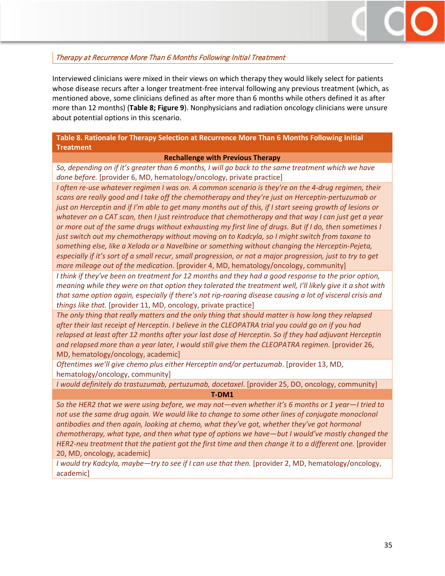

## Therapy at Recurrence More Than 6 Months Following Initial Treatment

Interviewed clinicians were mixed in their views on which therapy they would likely select for patients whose disease recurs after a longer treatment-free interval following any previous treatment (which, as mentioned above, some clinicians defined as after more than 6 months while others defined it as after more than 12 months) (**Table 8; Figure 9**). Nonphysicians and radiation oncology clinicians were unsure about potential options in this scenario.

#### **Table 8. Rationale for Therapy Selection at Recurrence More Than 6 Months Following Initial Treatment**

#### **Rechallenge with Previous Therapy**

*So, depending on if it's greater than 6 months, I will go back to the same treatment which we have done before.* [provider 6, MD, hematology/oncology, private practice]

*I* often re-use whatever regimen I was on. A common scenario is they're on the 4-drug regimen, their *scans are really good and I take off the chemotherapy and they're just on Herceptin-pertuzumab or just on Herceptin and if I'm able to get many months out of this, if I start seeing growth of lesions or whatever on a CAT scan, then I just reintroduce that chemotherapy and that way I can just get a year or more out of the same drugs without exhausting my first line of drugs. But if I do, then sometimes I just switch out my chemotherapy without moving on to Kadcyla, so I might switch from taxane to something else, like a Xeloda or a Navelbine or something without changing the Herceptin-Pejeta, especially if it's sort of a small recur, small progression, or not a major progression, just to try to get more mileage out of the medication*. [provider 4, MD, hematology/oncology, community]

*I think if they've been on treatment for 12 months and they had a good response to the prior option, meaning while they were on that option they tolerated the treatment well, I'll likely give it a shot with that same option again, especially if there's not rip-roaring disease causing a lot of visceral crisis and things like that.* [provider 11, MD, oncology, private practice]

*The only thing that really matters and the only thing that should matter is how long they relapsed after their last receipt of Herceptin. I believe in the CLEOPATRA trial you could go on if you had relapsed at least after 12 months after your last dose of Herceptin. So if they had adjuvant Herceptin and relapsed more than a year later, I would still give them the CLEOPATRA regimen.* [provider 26, MD, hematology/oncology, academic]

*Oftentimes we'll give chemo plus either Herceptin and/or pertuzumab*. [provider 13, MD, hematology/oncology, community]

*I would definitely do trastuzumab, pertuzumab, docetaxel*. [provider 25, DO, oncology, community]

**T-DM1**

*So the HER2 that we were using before, we may not—even whether it's 6 months or 1 year—I tried to*  not use the same drug again. We would like to change to some other lines of conjugate monoclonal *antibodies and then again, looking at chemo, what they've got, whether they've got hormonal chemotherapy, what type, and then what type of options we have—but I would've mostly changed the HER2-neu treatment that the patient got the first time and then change it to a different one.* [provider 20, MD, oncology, academic]

*I would try Kadcyla, maybe—try to see if I can use that then.* [provider 2, MD, hematology/oncology, academic]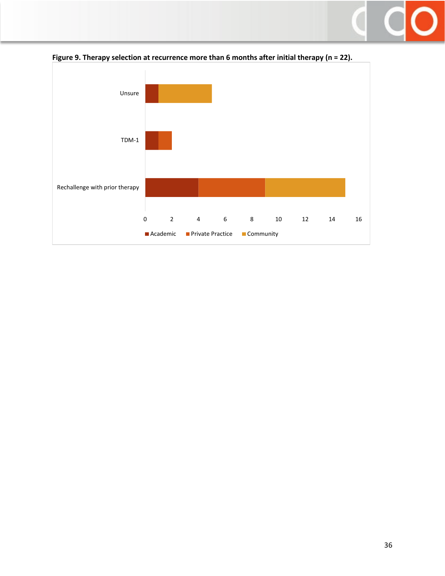



**Figure 9. Therapy selection at recurrence more than 6 months after initial therapy (n = 22).**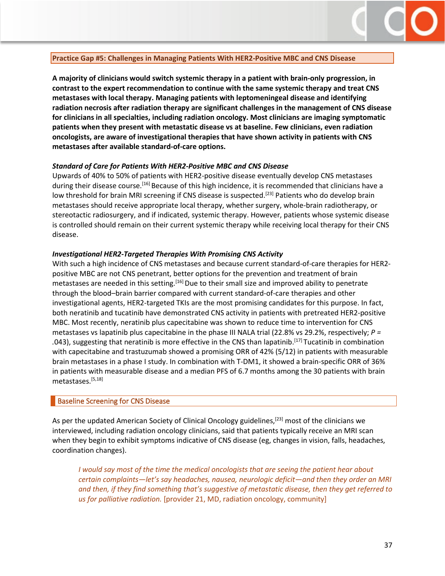

#### <span id="page-36-0"></span>**Practice Gap #5: Challenges in Managing Patients With HER2-Positive MBC and CNS Disease**

**A majority of clinicians would switch systemic therapy in a patient with brain-only progression, in contrast to the expert recommendation to continue with the same systemic therapy and treat CNS metastases with local therapy. Managing patients with leptomeningeal disease and identifying radiation necrosis after radiation therapy are significant challenges in the management of CNS disease for clinicians in all specialties, including radiation oncology. Most clinicians are imaging symptomatic patients when they present with metastatic disease vs at baseline. Few clinicians, even radiation oncologists, are aware of investigational therapies that have shown activity in patients with CNS metastases after available standard-of-care options.** 

#### *Standard of Care for Patients With HER2-Positive MBC and CNS Disease*

Upwards of 40% to 50% of patients with HER2-positive disease eventually develop CNS metastases during their disease course.[16] Because of this high incidence, it is recommended that clinicians have a low threshold for brain MRI screening if CNS disease is suspected.<sup>[23]</sup> Patients who do develop brain metastases should receive appropriate local therapy, whether surgery, whole-brain radiotherapy, or stereotactic radiosurgery, and if indicated, systemic therapy. However, patients whose systemic disease is controlled should remain on their current systemic therapy while receiving local therapy for their CNS disease.

#### *Investigational HER2-Targeted Therapies With Promising CNS Activity*

With such a high incidence of CNS metastases and because current standard-of-care therapies for HER2 positive MBC are not CNS penetrant, better options for the prevention and treatment of brain metastases are needed in this setting.<sup>[16]</sup> Due to their small size and improved ability to penetrate through the blood–brain barrier compared with current standard-of-care therapies and other investigational agents, HER2-targeted TKIs are the most promising candidates for this purpose. In fact, both neratinib and tucatinib have demonstrated CNS activity in patients with pretreated HER2-positive MBC. Most recently, neratinib plus capecitabine was shown to reduce time to intervention for CNS metastases vs lapatinib plus capecitabine in the phase III NALA trial (22.8% vs 29.2%, respectively; *P =*  .043), suggesting that neratinib is more effective in the CNS than lapatinib.<sup>[17]</sup> Tucatinib in combination with capecitabine and trastuzumab showed a promising ORR of 42% (5/12) in patients with measurable brain metastases in a phase I study. In combination with T-DM1, it showed a brain-specific ORR of 36% in patients with measurable disease and a median PFS of 6.7 months among the 30 patients with brain metastases.[5,18]

#### <span id="page-36-1"></span>Baseline Screening for CNS Disease

As per the updated American Society of Clinical Oncology guidelines,<sup>[23]</sup> most of the clinicians we interviewed, including radiation oncology clinicians, said that patients typically receive an MRI scan when they begin to exhibit symptoms indicative of CNS disease (eg, changes in vision, falls, headaches, coordination changes).

*I would say most of the time the medical oncologists that are seeing the patient hear about certain complaints—let's say headaches, nausea, neurologic deficit—and then they order an MRI and then, if they find something that's suggestive of metastatic disease, then they get referred to us for palliative radiation.* [provider 21, MD, radiation oncology, community]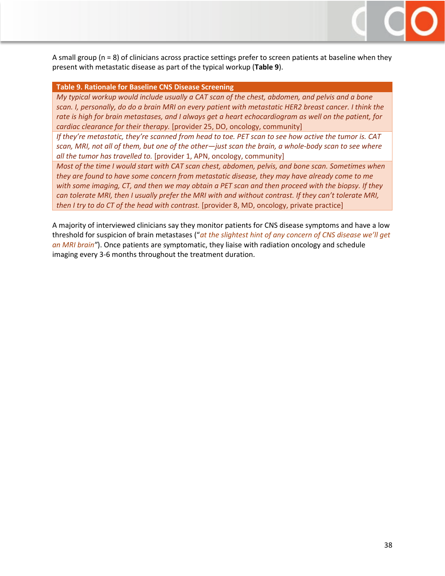A small group (n = 8) of clinicians across practice settings prefer to screen patients at baseline when they present with metastatic disease as part of the typical workup (**Table 9**).

#### **Table 9. Rationale for Baseline CNS Disease Screening**

*My typical workup would include usually a CAT scan of the chest, abdomen, and pelvis and a bone scan. I, personally, do do a brain MRI on every patient with metastatic HER2 breast cancer. I think the rate is high for brain metastases, and I always get a heart echocardiogram as well on the patient, for cardiac clearance for their therapy.* [provider 25, DO, oncology, community]

*If they're metastatic, they're scanned from head to toe. PET scan to see how active the tumor is. CAT scan, MRI, not all of them, but one of the other—just scan the brain, a whole-body scan to see where all the tumor has travelled to.* [provider 1, APN, oncology, community]

*Most of the time I would start with CAT scan chest, abdomen, pelvis, and bone scan. Sometimes when they are found to have some concern from metastatic disease, they may have already come to me with some imaging, CT, and then we may obtain a PET scan and then proceed with the biopsy. If they can tolerate MRI, then I usually prefer the MRI with and without contrast. If they can't tolerate MRI, then I try to do CT of the head with contrast.* [provider 8, MD, oncology, private practice]

A majority of interviewed clinicians say they monitor patients for CNS disease symptoms and have a low threshold for suspicion of brain metastases ("*at the slightest hint of any concern of CNS disease we'll get an MRI brain"*). Once patients are symptomatic, they liaise with radiation oncology and schedule imaging every 3-6 months throughout the treatment duration.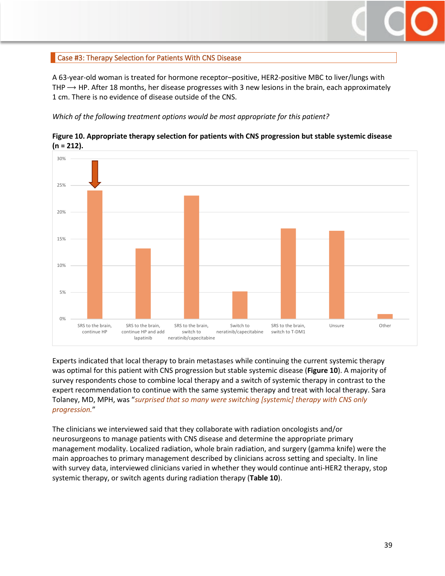

## <span id="page-38-0"></span>Case #3: Therapy Selection for Patients With CNS Disease

A 63-year-old woman is treated for hormone receptor–positive, HER2-positive MBC to liver/lungs with THP  $\rightarrow$  HP. After 18 months, her disease progresses with 3 new lesions in the brain, each approximately 1 cm. There is no evidence of disease outside of the CNS.

*Which of the following treatment options would be most appropriate for this patient?*





Experts indicated that local therapy to brain metastases while continuing the current systemic therapy was optimal for this patient with CNS progression but stable systemic disease (**Figure 10**). A majority of survey respondents chose to combine local therapy and a switch of systemic therapy in contrast to the expert recommendation to continue with the same systemic therapy and treat with local therapy. Sara Tolaney, MD, MPH, was "*surprised that so many were switching [systemic] therapy with CNS only progression.*"

The clinicians we interviewed said that they collaborate with radiation oncologists and/or neurosurgeons to manage patients with CNS disease and determine the appropriate primary management modality. Localized radiation, whole brain radiation, and surgery (gamma knife) were the main approaches to primary management described by clinicians across setting and specialty. In line with survey data, interviewed clinicians varied in whether they would continue anti-HER2 therapy, stop systemic therapy, or switch agents during radiation therapy (**Table 10**).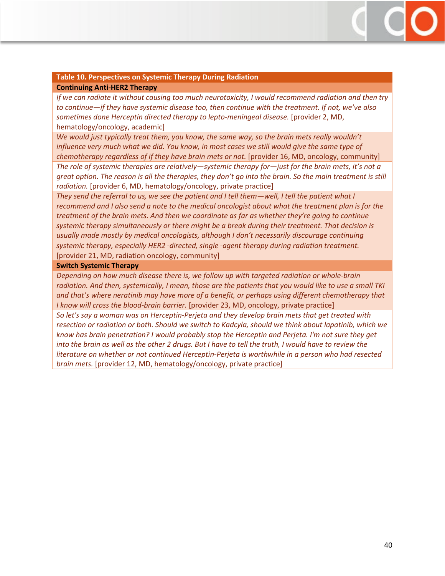## **Table 10. Perspectives on Systemic Therapy During Radiation**

#### **Continuing Anti-HER2 Therapy**

*If we can radiate it without causing too much neurotoxicity, I would recommend radiation and then try to continue—if they have systemic disease too, then continue with the treatment. If not, we've also sometimes done Herceptin directed therapy to lepto-meningeal disease.* [provider 2, MD, hematology/oncology, academic]

*We would just typically treat them, you know, the same way, so the brain mets really wouldn't influence very much what we did. You know, in most cases we still would give the same type of chemotherapy regardless of if they have brain mets or not.* [provider 16, MD, oncology, community] *The role of systemic therapies are relatively—systemic therapy for—just for the brain mets, it's not a great option. The reason is all the therapies, they don't go into the brain. So the main treatment is still radiation.* [provider 6, MD, hematology/oncology, private practice]

*They send the referral to us, we see the patient and I tell them—well, I tell the patient what I recommend and I also send a note to the medical oncologist about what the treatment plan is for the treatment of the brain mets. And then we coordinate as far as whether they're going to continue systemic therapy simultaneously or there might be a break during their treatment. That decision is usually made mostly by medical oncologists, although I don't necessarily discourage continuing systemic therapy, especially HER2*‑*directed, single*‑*agent therapy during radiation treatment.*  [provider 21, MD, radiation oncology, community]

#### **Switch Systemic Therapy**

*Depending on how much disease there is, we follow up with targeted radiation or whole-brain radiation. And then, systemically, I mean, those are the patients that you would like to use a small TKI and that's where neratinib may have more of a benefit, or perhaps using different chemotherapy that I know will cross the blood-brain barrier.* [provider 23, MD, oncology, private practice]

*So let's say a woman was on Herceptin-Perjeta and they develop brain mets that get treated with resection or radiation or both. Should we switch to Kadcyla, should we think about lapatinib, which we know has brain penetration? I would probably stop the Herceptin and Perjeta. I'm not sure they get into the brain as well as the other 2 drugs. But I have to tell the truth, I would have to review the literature on whether or not continued Herceptin-Perjeta is worthwhile in a person who had resected brain mets.* [provider 12, MD, hematology/oncology, private practice]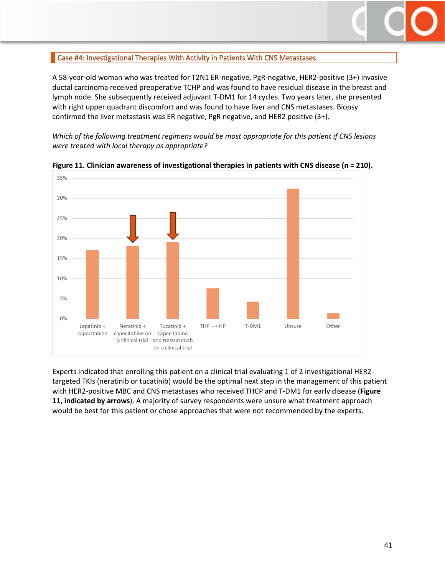

## <span id="page-40-0"></span>Case #4: Investigational Therapies With Activity in Patients With CNS Metastases

A 58-year-old woman who was treated for T2N1 ER-negative, PgR-negative, HER2-positive (3+) invasive ductal carcinoma received preoperative TCHP and was found to have residual disease in the breast and lymph node. She subsequently received adjuvant T-DM1 for 14 cycles. Two years later, she presented with right upper quadrant discomfort and was found to have liver and CNS metastases. Biopsy confirmed the liver metastasis was ER negative, PgR negative, and HER2 positive (3+).

*Which of the following treatment regimens would be most appropriate for this patient if CNS lesions were treated with local therapy as appropriate?*



**Figure 11. Clinician awareness of investigational therapies in patients with CNS disease (n = 210).**

Experts indicated that enrolling this patient on a clinical trial evaluating 1 of 2 investigational HER2 targeted TKIs (neratinib or tucatinib) would be the optimal next step in the management of this patient with HER2-positive MBC and CNS metastases who received THCP and T-DM1 for early disease (**Figure 11, indicated by arrows**). A majority of survey respondents were unsure what treatment approach would be best for this patient or chose approaches that were not recommended by the experts.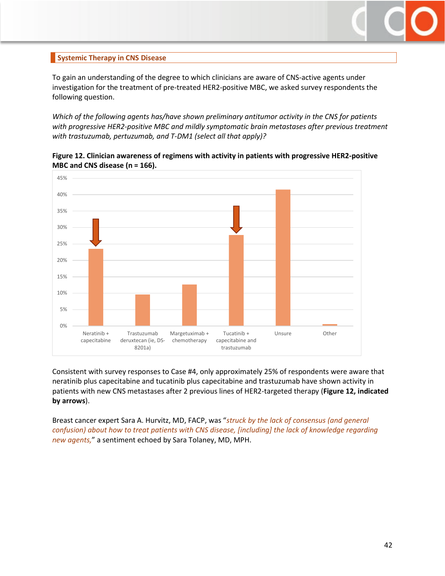

## <span id="page-41-0"></span>**Systemic Therapy in CNS Disease**

To gain an understanding of the degree to which clinicians are aware of CNS-active agents under investigation for the treatment of pre-treated HER2-positive MBC, we asked survey respondents the following question.

*Which of the following agents has/have shown preliminary antitumor activity in the CNS for patients with progressive HER2-positive MBC and mildly symptomatic brain metastases after previous treatment with trastuzumab, pertuzumab, and T-DM1 (select all that apply)?*



**Figure 12. Clinician awareness of regimens with activity in patients with progressive HER2-positive MBC and CNS disease (n = 166).**

Consistent with survey responses to Case #4, only approximately 25% of respondents were aware that neratinib plus capecitabine and tucatinib plus capecitabine and trastuzumab have shown activity in patients with new CNS metastases after 2 previous lines of HER2-targeted therapy (**Figure 12, indicated by arrows**).

Breast cancer expert Sara A. Hurvitz, MD, FACP, was "*struck by the lack of consensus (and general confusion) about how to treat patients with CNS disease, [including] the lack of knowledge regarding new agents,*" a sentiment echoed by Sara Tolaney, MD, MPH.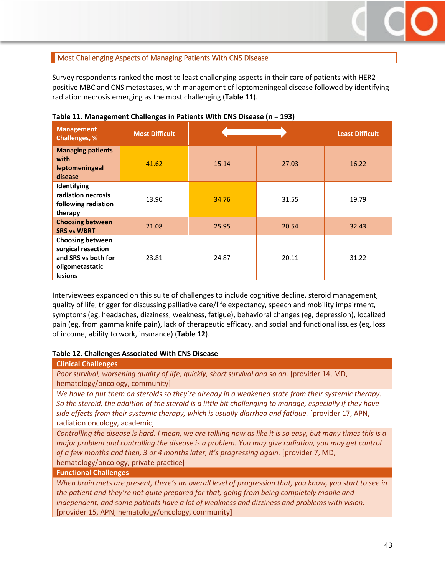

## <span id="page-42-0"></span>**Most Challenging Aspects of Managing Patients With CNS Disease**

Survey respondents ranked the most to least challenging aspects in their care of patients with HER2 positive MBC and CNS metastases, with management of leptomeningeal disease followed by identifying radiation necrosis emerging as the most challenging (**Table 11**).

| <b>Management</b><br><b>Challenges, %</b>                                                                 | <b>Most Difficult</b> |       |       | <b>Least Difficult</b> |
|-----------------------------------------------------------------------------------------------------------|-----------------------|-------|-------|------------------------|
| <b>Managing patients</b><br>with<br>leptomeningeal<br>disease                                             | 41.62                 | 15.14 | 27.03 | 16.22                  |
| Identifying<br>radiation necrosis<br>following radiation<br>therapy                                       | 13.90                 | 34.76 | 31.55 | 19.79                  |
| <b>Choosing between</b><br><b>SRS vs WBRT</b>                                                             | 21.08                 | 25.95 | 20.54 | 32.43                  |
| <b>Choosing between</b><br>surgical resection<br>and SRS vs both for<br>oligometastatic<br><b>lesions</b> | 23.81                 | 24.87 | 20.11 | 31.22                  |

**Table 11. Management Challenges in Patients With CNS Disease (n = 193)**

Interviewees expanded on this suite of challenges to include cognitive decline, steroid management, quality of life, trigger for discussing palliative care/life expectancy, speech and mobility impairment, symptoms (eg, headaches, dizziness, weakness, fatigue), behavioral changes (eg, depression), localized pain (eg, from gamma knife pain), lack of therapeutic efficacy, and social and functional issues (eg, loss of income, ability to work, insurance) (**Table 12**).

#### **Table 12. Challenges Associated With CNS Disease**

**Clinical Challenges** Poor survival, worsening quality of life, quickly, short survival and so on. [provider 14, MD,

hematology/oncology, community]

*We have to put them on steroids so they're already in a weakened state from their systemic therapy. So the steroid, the addition of the steroid is a little bit challenging to manage, especially if they have*  side effects from their systemic therapy, which is usually diarrhea and fatique. [provider 17, APN, radiation oncology, academic]

*Controlling the disease is hard. I mean, we are talking now as like it is so easy, but many times this is a major problem and controlling the disease is a problem. You may give radiation, you may get control of a few months and then, 3 or 4 months later, it's progressing again.* [provider 7, MD, hematology/oncology, private practice]

**Functional Challenges**

*When brain mets are present, there's an overall level of progression that, you know, you start to see in the patient and they're not quite prepared for that, going from being completely mobile and independent, and some patients have a lot of weakness and dizziness and problems with vision.*  [provider 15, APN, hematology/oncology, community]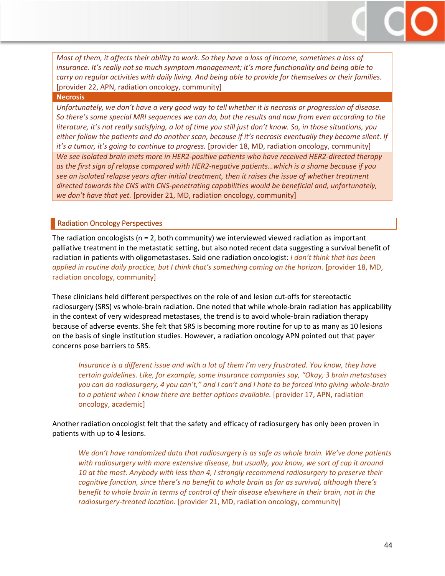*Most of them, it affects their ability to work. So they have a loss of income, sometimes a loss of insurance. It's really not so much symptom management; it's more functionality and being able to carry on regular activities with daily living. And being able to provide for themselves or their families.*  [provider 22, APN, radiation oncology, community]

#### **Necrosis**

*Unfortunately, we don't have a very good way to tell whether it is necrosis or progression of disease. So there's some special MRI sequences we can do, but the results and now from even according to the literature, it's not really satisfying, a lot of time you still just don't know. So, in those situations, you either follow the patients and do another scan, because if it's necrosis eventually they become silent. If it's a tumor, it's going to continue to progress.* [provider 18, MD, radiation oncology, community] *We see isolated brain mets more in HER2-positive patients who have received HER2-directed therapy as the first sign of relapse compared with HER2-negative patients…which is a shame because if you see an isolated relapse years after initial treatment, then it raises the issue of whether treatment directed towards the CNS with CNS-penetrating capabilities would be beneficial and, unfortunately, we don't have that yet.* [provider 21, MD, radiation oncology, community]

#### <span id="page-43-0"></span>Radiation Oncology Perspectives

The radiation oncologists ( $n = 2$ , both community) we interviewed viewed radiation as important palliative treatment in the metastatic setting, but also noted recent data suggesting a survival benefit of radiation in patients with oligometastases. Said one radiation oncologist: *I don't think that has been applied in routine daily practice, but I think that's something coming on the horizon*. [provider 18, MD, radiation oncology, community]

These clinicians held different perspectives on the role of and lesion cut-offs for stereotactic radiosurgery (SRS) vs whole-brain radiation. One noted that while whole-brain radiation has applicability in the context of very widespread metastases, the trend is to avoid whole-brain radiation therapy because of adverse events. She felt that SRS is becoming more routine for up to as many as 10 lesions on the basis of single institution studies. However, a radiation oncology APN pointed out that payer concerns pose barriers to SRS.

*Insurance is a different issue and with a lot of them I'm very frustrated. You know, they have certain guidelines. Like, for example, some insurance companies say, "Okay, 3 brain metastases you can do radiosurgery, 4 you can't," and I can't and I hate to be forced into giving whole-brain to a patient when I know there are better options available.* [provider 17, APN, radiation oncology, academic]

Another radiation oncologist felt that the safety and efficacy of radiosurgery has only been proven in patients with up to 4 lesions.

*We don't have randomized data that radiosurgery is as safe as whole brain. We've done patients with radiosurgery with more extensive disease, but usually, you know, we sort of cap it around 10 at the most. Anybody with less than 4, I strongly recommend radiosurgery to preserve their cognitive function, since there's no benefit to whole brain as far as survival, although there's benefit to whole brain in terms of control of their disease elsewhere in their brain, not in the radiosurgery-treated location.* [provider 21, MD, radiation oncology, community]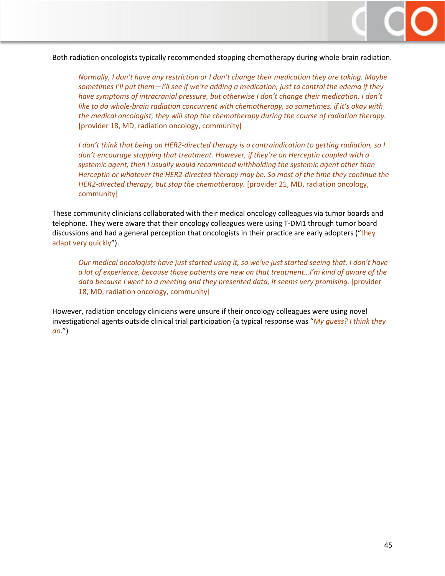

Both radiation oncologists typically recommended stopping chemotherapy during whole-brain radiation.

*Normally, I don't have any restriction or I don't change their medication they are taking. Maybe sometimes I'll put them—I'll see if we're adding a medication, just to control the edema if they have symptoms of intracranial pressure, but otherwise I don't change their medication. I don't like to do whole-brain radiation concurrent with chemotherapy, so sometimes, if it's okay with the medical oncologist, they will stop the chemotherapy during the course of radiation therapy.*  [provider 18, MD, radiation oncology, community]

*I don't think that being on HER2-directed therapy is a contraindication to getting radiation, so I don't encourage stopping that treatment. However, if they're on Herceptin coupled with a systemic agent, then I usually would recommend withholding the systemic agent other than Herceptin or whatever the HER2-directed therapy may be. So most of the time they continue the HER2-directed therapy, but stop the chemotherapy.* [provider 21, MD, radiation oncology, community]

These community clinicians collaborated with their medical oncology colleagues via tumor boards and telephone. They were aware that their oncology colleagues were using T-DM1 through tumor board discussions and had a general perception that oncologists in their practice are early adopters ("they adapt very quickly").

*Our medical oncologists have just started using it, so we've just started seeing that. I don't have a lot of experience, because those patients are new on that treatment…I'm kind of aware of the*  data because I went to a meeting and they presented data, it seems very promising. [provider 18, MD, radiation oncology, community]

However, radiation oncology clinicians were unsure if their oncology colleagues were using novel investigational agents outside clinical trial participation (a typical response was "*My guess? I think they do*.")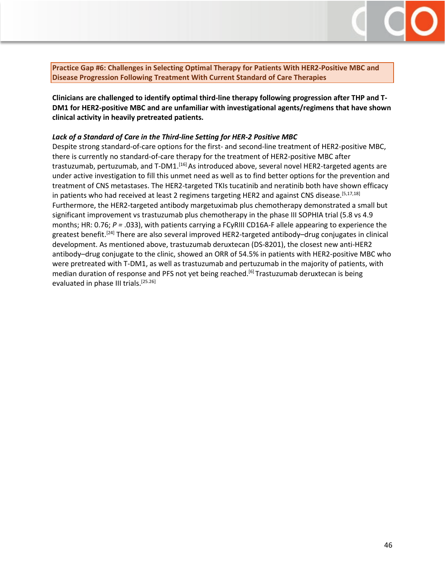<span id="page-45-0"></span>

**Clinicians are challenged to identify optimal third-line therapy following progression after THP and T-DM1 for HER2-positive MBC and are unfamiliar with investigational agents/regimens that have shown clinical activity in heavily pretreated patients.** 

#### *Lack of a Standard of Care in the Third-line Setting for HER-2 Positive MBC*

Despite strong standard-of-care options for the first- and second-line treatment of HER2-positive MBC, there is currently no standard-of-care therapy for the treatment of HER2-positive MBC after trastuzumab, pertuzumab, and T-DM1.<sup>[16]</sup> As introduced above, several novel HER2-targeted agents are under active investigation to fill this unmet need as well as to find better options for the prevention and treatment of CNS metastases. The HER2-targeted TKIs tucatinib and neratinib both have shown efficacy in patients who had received at least 2 regimens targeting HER2 and against CNS disease.<sup>[5,17,18]</sup> Furthermore, the HER2-targeted antibody margetuximab plus chemotherapy demonstrated a small but significant improvement vs trastuzumab plus chemotherapy in the phase III SOPHIA trial (5.8 vs 4.9 months; HR: 0.76; *P =* .033), with patients carrying a FCγRIII CD16A-F allele appearing to experience the greatest benefit.<sup>[24]</sup> There are also several improved HER2-targeted antibody–drug conjugates in clinical development. As mentioned above, trastuzumab deruxtecan (DS-8201), the closest new anti-HER2 antibody–drug conjugate to the clinic, showed an ORR of 54.5% in patients with HER2-positive MBC who were pretreated with T-DM1, as well as trastuzumab and pertuzumab in the majority of patients, with median duration of response and PFS not yet being reached.<sup>[6]</sup> Trastuzumab deruxtecan is being evaluated in phase III trials.<sup>[25.26]</sup>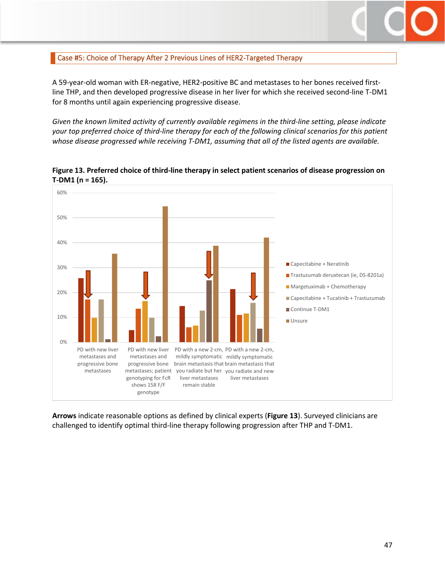

## <span id="page-46-0"></span>Case #5: Choice of Therapy After 2 Previous Lines of HER2-Targeted Therapy

A 59-year-old woman with ER-negative, HER2-positive BC and metastases to her bones received firstline THP, and then developed progressive disease in her liver for which she received second-line T-DM1 for 8 months until again experiencing progressive disease.

*Given the known limited activity of currently available regimens in the third-line setting, please indicate your top preferred choice of third-line therapy for each of the following clinical scenarios for this patient whose disease progressed while receiving T-DM1, assuming that all of the listed agents are available.*



**Figure 13. Preferred choice of third-line therapy in select patient scenarios of disease progression on T-DM1 (n = 165).**

**Arrows** indicate reasonable options as defined by clinical experts (**Figure 13**). Surveyed clinicians are challenged to identify optimal third-line therapy following progression after THP and T-DM1.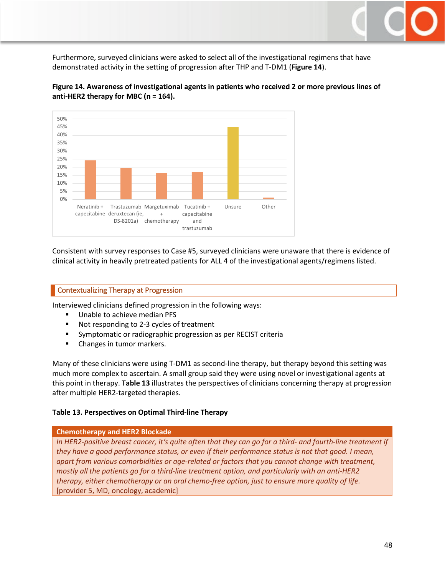Furthermore, surveyed clinicians were asked to select all of the investigational regimens that have demonstrated activity in the setting of progression after THP and T-DM1 (**Figure 14**).



**Figure 14. Awareness of investigational agents in patients who received 2 or more previous lines of anti-HER2 therapy for MBC (n = 164).**

Consistent with survey responses to Case #5, surveyed clinicians were unaware that there is evidence of clinical activity in heavily pretreated patients for ALL 4 of the investigational agents/regimens listed.

#### <span id="page-47-0"></span>Contextualizing Therapy at Progression

Interviewed clinicians defined progression in the following ways:

- Unable to achieve median PFS
- Not responding to 2-3 cycles of treatment
- Symptomatic or radiographic progression as per RECIST criteria
- **Changes in tumor markers.**

Many of these clinicians were using T-DM1 as second-line therapy, but therapy beyond this setting was much more complex to ascertain. A small group said they were using novel or investigational agents at this point in therapy. **Table 13** illustrates the perspectives of clinicians concerning therapy at progression after multiple HER2-targeted therapies.

#### **Table 13. Perspectives on Optimal Third-line Therapy**

#### **Chemotherapy and HER2 Blockade**

*In HER2-positive breast cancer, it's quite often that they can go for a third- and fourth-line treatment if they have a good performance status, or even if their performance status is not that good. I mean, apart from various comorbidities or age-related or factors that you cannot change with treatment, mostly all the patients go for a third-line treatment option, and particularly with an anti-HER2 therapy, either chemotherapy or an oral chemo-free option, just to ensure more quality of life.*  [provider 5, MD, oncology, academic]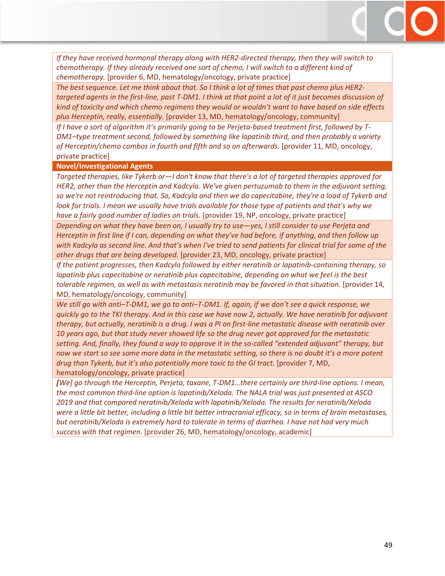*If they have received hormonal therapy along with HER2-directed therapy, then they will switch to chemotherapy. If they already received one sort of chemo, I will switch to a different kind of chemotherapy.* [provider 6, MD, hematology/oncology, private practice]

*The best sequence. Let me think about that. So I think a lot of times that past chemo plus HER2 targeted agents in the first-line, past T-DM1. I think at that point a lot of it just becomes discussion of kind of toxicity and which chemo regimens they would or wouldn't want to have based on side effects plus Herceptin, really, essentially.* [provider 13, MD, hematology/oncology, community]

*If I have a sort of algorithm it's primarily going to be Perjeta-based treatment first, followed by T-DM1–type treatment second, followed by something like lapatinib third, and then probably a variety of Herceptin/chemo combos in fourth and fifth and so on afterwards.* [provider 11, MD, oncology, private practice]

#### **Novel/Investigational Agents**

*Targeted therapies, like Tykerb or—I don't know that there's a lot of targeted therapies approved for HER2, other than the Herceptin and Kadcyla. We've given pertuzumab to them in the adjuvant setting, so we're not reintroducing that. So, Kadcyla and then we do capecitabine, they're a load of Tykerb and*  look for trials. I mean we usually have trials available for those type of patients and that's why we *have a fairly good number of ladies on trials.* [provider 19, NP, oncology, private practice]

*Depending on what they have been on, I usually try to use—yes, I still consider to use Perjeta and Herceptin in first line if I can, depending on what they've had before, if anything, and then follow up with Kadcyla as second line. And that's when I've tried to send patients for clinical trial for some of the other drugs that are being developed.* [provider 23, MD, oncology, private practice]

*If the patient progresses, then Kadcyla followed by either neratinib or lapatinib-containing therapy, so lapatinib plus capecitabine or neratinib plus capecitabine, depending on what we feel is the best tolerable regimen, as well as with metastasis neratinib may be favored in that situation.* [provider 14, MD, hematology/oncology, community]

*We still go with anti–T-DM1, we go to anti–T-DM1. If, again, if we don't see a quick response, we quickly go to the TKI therapy. And in this case we have now 2, actually. We have neratinib for adjuvant therapy, but actually, neratinib is a drug. I was a PI on first-line metastatic disease with neratinib over 10 years ago, but that study never showed life so the drug never got approved for the metastatic setting. And, finally, they found a way to approve it in the so-called "extended adjuvant" therapy, but now we start so see some more data in the metastatic setting, so there is no doubt it's a more potent drug than Tykerb, but it's also potentially more toxic to the GI tract.* [provider 7, MD, hematology/oncology, private practice]

*[We] go through the Herceptin, Perjeta, taxane, T-DM1…there certainly are third-line options. I mean, the most common third-line option is lapatinib/Xeloda. The NALA trial was just presented at ASCO 2019 and that compared neratinib/Xeloda with lapatinib/Xeloda. The results for neratinib/Xeloda were a little bit better, including a little bit better intracranial efficacy, so in terms of brain metastases, but neratinib/Xeloda is extremely hard to tolerate in terms of diarrhea. I have not had very much success with that regimen.* [provider 26, MD, hematology/oncology, academic]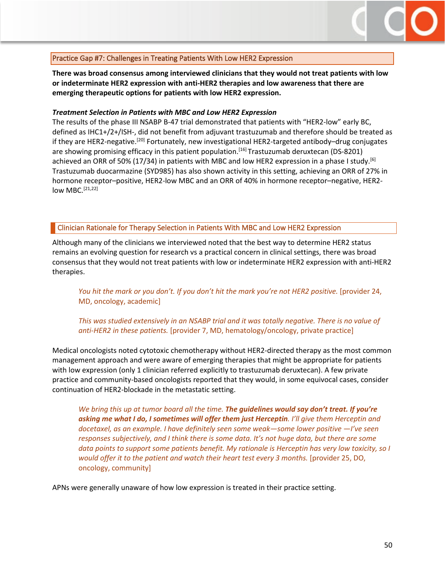

## <span id="page-49-0"></span>Practice Gap #7: Challenges in Treating Patients With Low HER2 Expression

**There was broad consensus among interviewed clinicians that they would not treat patients with low or indeterminate HER2 expression with anti-HER2 therapies and low awareness that there are emerging therapeutic options for patients with low HER2 expression.** 

#### *Treatment Selection in Patients with MBC and Low HER2 Expression*

The results of the phase III NSABP B-47 trial demonstrated that patients with "HER2-low" early BC, defined as IHC1+/2+/ISH-, did not benefit from adjuvant trastuzumab and therefore should be treated as if they are HER2-negative.<sup>[20]</sup> Fortunately, new investigational HER2-targeted antibody–drug conjugates are showing promising efficacy in this patient population.<sup>[16]</sup> Trastuzumab deruxtecan (DS-8201) achieved an ORR of 50% (17/34) in patients with MBC and low HER2 expression in a phase I study.<sup>[6]</sup> Trastuzumab duocarmazine (SYD985) has also shown activity in this setting, achieving an ORR of 27% in hormone receptor–positive, HER2-low MBC and an ORR of 40% in hormone receptor–negative, HER2 low MBC.<sup>[21,22]</sup>

#### <span id="page-49-1"></span>Clinician Rationale for Therapy Selection in Patients With MBC and Low HER2 Expression

Although many of the clinicians we interviewed noted that the best way to determine HER2 status remains an evolving question for research vs a practical concern in clinical settings, there was broad consensus that they would not treat patients with low or indeterminate HER2 expression with anti-HER2 therapies.

*You hit the mark or you don't. If you don't hit the mark you're not HER2 positive.* [provider 24, MD, oncology, academic]

#### *This was studied extensively in an NSABP trial and it was totally negative. There is no value of anti-HER2 in these patients.* [provider 7, MD, hematology/oncology, private practice]

Medical oncologists noted cytotoxic chemotherapy without HER2-directed therapy as the most common management approach and were aware of emerging therapies that might be appropriate for patients with low expression (only 1 clinician referred explicitly to trastuzumab deruxtecan). A few private practice and community-based oncologists reported that they would, in some equivocal cases, consider continuation of HER2-blockade in the metastatic setting.

*We bring this up at tumor board all the time. The guidelines would say don't treat. If you're asking me what I do, I sometimes will offer them just Herceptin. I'll give them Herceptin and docetaxel, as an example. I have definitely seen some weak—some lower positive —I've seen responses subjectively, and I think there is some data. It's not huge data, but there are some data points to support some patients benefit. My rationale is Herceptin has very low toxicity, so I would offer it to the patient and watch their heart test every 3 months.* [provider 25, DO, oncology, community]

APNs were generally unaware of how low expression is treated in their practice setting.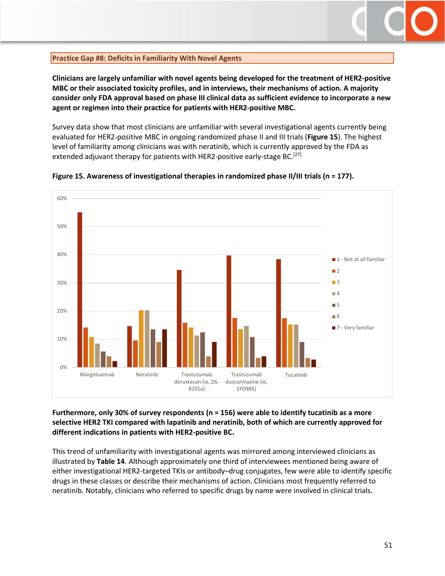

#### <span id="page-50-0"></span>**Practice Gap #8: Deficits in Familiarity With Novel Agents**

**Clinicians are largely unfamiliar with novel agents being developed for the treatment of HER2-positive MBC or their associated toxicity profiles, and in interviews, their mechanisms of action. A majority consider only FDA approval based on phase III clinical data as sufficient evidence to incorporate a new agent or regimen into their practice for patients with HER2-positive MBC.**

Survey data show that most clinicians are unfamiliar with several investigational agents currently being evaluated for HER2-positive MBC in ongoing randomized phase II and III trials (**Figure 15**). The highest level of familiarity among clinicians was with neratinib, which is currently approved by the FDA as extended adjuvant therapy for patients with HER2-positive early-stage BC.<sup>[27]</sup>



**Figure 15. Awareness of investigational therapies in randomized phase II/III trials (n = 177).**

**Furthermore, only 30% of survey respondents (n = 156) were able to identify tucatinib as a more selective HER2 TKI compared with lapatinib and neratinib, both of which are currently approved for different indications in patients with HER2-positive BC.**

This trend of unfamiliarity with investigational agents was mirrored among interviewed clinicians as illustrated by **Table 14**. Although approximately one third of interviewees mentioned being aware of either investigational HER2-targeted TKIs or antibody–drug conjugates, few were able to identify specific drugs in these classes or describe their mechanisms of action. Clinicians most frequently referred to neratinib. Notably, clinicians who referred to specific drugs by name were involved in clinical trials.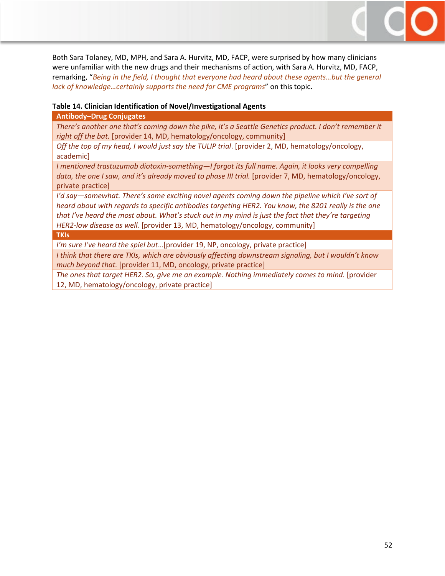Both Sara Tolaney, MD, MPH, and Sara A. Hurvitz, MD, FACP, were surprised by how many clinicians were unfamiliar with the new drugs and their mechanisms of action, with Sara A. Hurvitz, MD, FACP, remarking, "*Being in the field, I thought that everyone had heard about these agents…but the general lack of knowledge…certainly supports the need for CME programs*" on this topic.

#### **Table 14. Clinician Identification of Novel/Investigational Agents**

#### **Antibody–Drug Conjugates**

*There's another one that's coming down the pike, it's a Seattle Genetics product. I don't remember it right off the bat.* [provider 14, MD, hematology/oncology, community]

*Off the top of my head, I would just say the TULIP trial*. [provider 2, MD, hematology/oncology, academic]

*I mentioned trastuzumab diotoxin-something—I forgot its full name. Again, it looks very compelling*  data, the one I saw, and it's already moved to phase III trial. [provider 7, MD, hematology/oncology, private practice]

*I'd say—somewhat. There's some exciting novel agents coming down the pipeline which I've sort of heard about with regards to specific antibodies targeting HER2. You know, the 8201 really is the one that I've heard the most about. What's stuck out in my mind is just the fact that they're targeting HER2-low disease as well.* [provider 13, MD, hematology/oncology, community]

#### **TKIs**

*I'm sure I've heard the spiel but*…[provider 19, NP, oncology, private practice]

*I think that there are TKIs, which are obviously affecting downstream signaling, but I wouldn't know much beyond that.* [provider 11, MD, oncology, private practice]

*The ones that target HER2. So, give me an example. Nothing immediately comes to mind.* [provider 12, MD, hematology/oncology, private practice]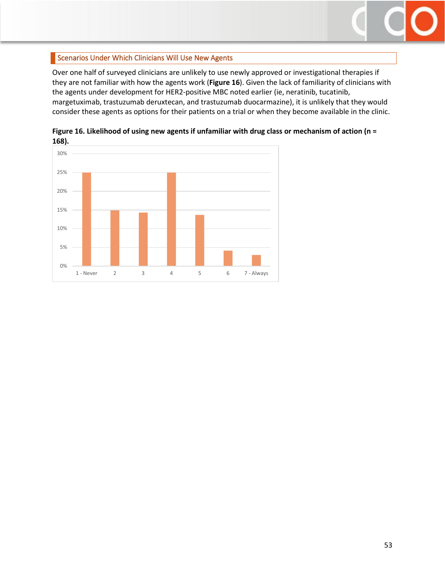

## <span id="page-52-0"></span>Scenarios Under Which Clinicians Will Use New Agents

Over one half of surveyed clinicians are unlikely to use newly approved or investigational therapies if they are not familiar with how the agents work (**Figure 16**). Given the lack of familiarity of clinicians with the agents under development for HER2-positive MBC noted earlier (ie, neratinib, tucatinib, margetuximab, trastuzumab deruxtecan, and trastuzumab duocarmazine), it is unlikely that they would consider these agents as options for their patients on a trial or when they become available in the clinic.



**Figure 16. Likelihood of using new agents if unfamiliar with drug class or mechanism of action (n = 168).**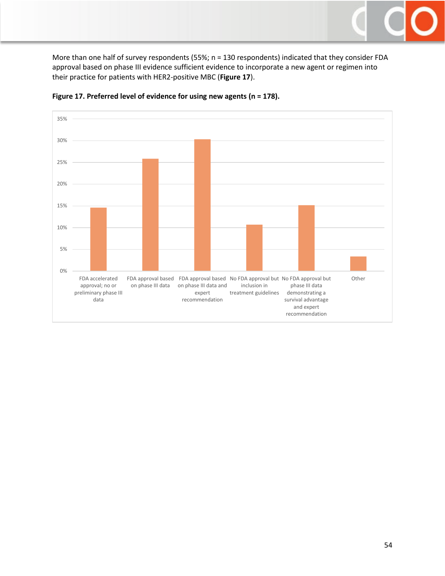

More than one half of survey respondents (55%; n = 130 respondents) indicated that they consider FDA approval based on phase III evidence sufficient evidence to incorporate a new agent or regimen into their practice for patients with HER2-positive MBC (**Figure 17**).



#### **Figure 17. Preferred level of evidence for using new agents (n = 178).**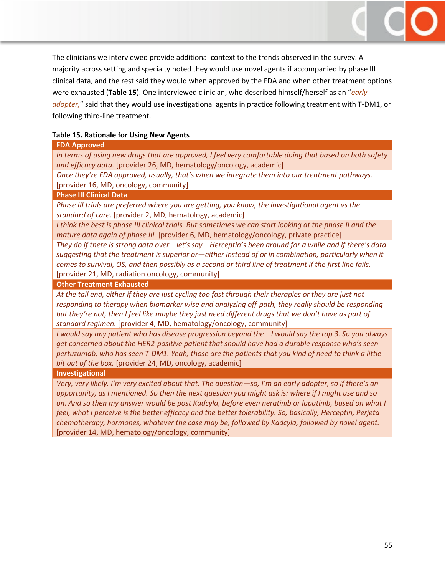The clinicians we interviewed provide additional context to the trends observed in the survey. A majority across setting and specialty noted they would use novel agents if accompanied by phase III clinical data, and the rest said they would when approved by the FDA and when other treatment options were exhausted (**Table 15**). One interviewed clinician, who described himself/herself as an "*early adopter,*" said that they would use investigational agents in practice following treatment with T-DM1, or following third-line treatment.

#### **Table 15. Rationale for Using New Agents**

#### **FDA Approved**

*In terms of using new drugs that are approved, I feel very comfortable doing that based on both safety and efficacy data.* [provider 26, MD, hematology/oncology, academic]

*Once they're FDA approved, usually, that's when we integrate them into our treatment pathways.*  [provider 16, MD, oncology, community]

#### **Phase III Clinical Data**

*Phase III trials are preferred where you are getting, you know, the investigational agent vs the standard of care*. [provider 2, MD, hematology, academic]

*I think the best is phase III clinical trials. But sometimes we can start looking at the phase II and the mature data again of phase III.* [provider 6, MD, hematology/oncology, private practice]

*They do if there is strong data over—let's say—Herceptin's been around for a while and if there's data suggesting that the treatment is superior or—either instead of or in combination, particularly when it comes to survival, OS, and then possibly as a second or third line of treatment if the first line fails*. [provider 21, MD, radiation oncology, community]

**Other Treatment Exhausted**

*At the tail end, either if they are just cycling too fast through their therapies or they are just not responding to therapy when biomarker wise and analyzing off-path, they really should be responding but they're not, then I feel like maybe they just need different drugs that we don't have as part of standard regimen.* [provider 4, MD, hematology/oncology, community]

*I would say any patient who has disease progression beyond the—I would say the top 3. So you always get concerned about the HER2-positive patient that should have had a durable response who's seen pertuzumab, who has seen T-DM1. Yeah, those are the patients that you kind of need to think a little bit out of the box.* [provider 24, MD, oncology, academic]

**Investigational**

*Very, very likely. I'm very excited about that. The question—so, I'm an early adopter, so if there's an opportunity, as I mentioned. So then the next question you might ask is: where if I might use and so on. And so then my answer would be post Kadcyla, before even neratinib or lapatinib, based on what I feel, what I perceive is the better efficacy and the better tolerability. So, basically, Herceptin, Perjeta chemotherapy, hormones, whatever the case may be, followed by Kadcyla, followed by novel agent.* [provider 14, MD, hematology/oncology, community]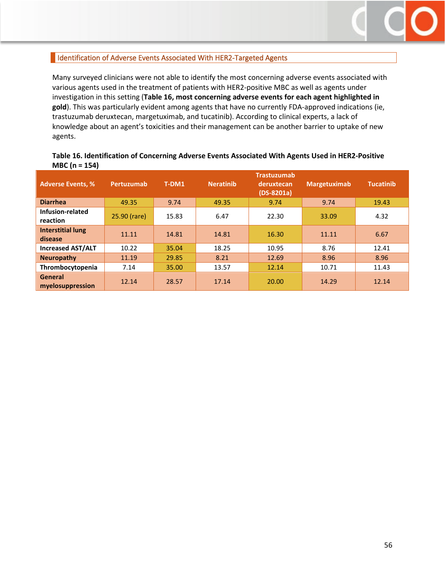

## <span id="page-55-0"></span>I Identification of Adverse Events Associated With HER2-Targeted Agents

Many surveyed clinicians were not able to identify the most concerning adverse events associated with various agents used in the treatment of patients with HER2-positive MBC as well as agents under investigation in this setting (**Table 16, most concerning adverse events for each agent highlighted in gold**). This was particularly evident among agents that have no currently FDA-approved indications (ie, trastuzumab deruxtecan, margetuximab, and tucatinib). According to clinical experts, a lack of knowledge about an agent's toxicities and their management can be another barrier to uptake of new agents.

#### **Table 16. Identification of Concerning Adverse Events Associated With Agents Used in HER2-Positive MBC (n = 154)**

| <b>Adverse Events, %</b>            | Pertuzumab   | T-DM1 | <b>Neratinib</b> | <b>Trastuzumab</b><br>deruxtecan<br>$(DS-8201a)$ | <b>Margetuximab</b> | <b>Tucatinib</b> |
|-------------------------------------|--------------|-------|------------------|--------------------------------------------------|---------------------|------------------|
| <b>Diarrhea</b>                     | 49.35        | 9.74  | 49.35            | 9.74                                             | 9.74                | 19.43            |
| Infusion-related<br>reaction        | 25.90 (rare) | 15.83 | 6.47             | 22.30                                            | 33.09               | 4.32             |
| <b>Interstitial lung</b><br>disease | 11.11        | 14.81 | 14.81            | 16.30                                            | 11.11               | 6.67             |
| <b>Increased AST/ALT</b>            | 10.22        | 35.04 | 18.25            | 10.95                                            | 8.76                | 12.41            |
| <b>Neuropathy</b>                   | 11.19        | 29.85 | 8.21             | 12.69                                            | 8.96                | 8.96             |
| Thrombocytopenia                    | 7.14         | 35.00 | 13.57            | 12.14                                            | 10.71               | 11.43            |
| General<br>myelosuppression         | 12.14        | 28.57 | 17.14            | 20.00                                            | 14.29               | 12.14            |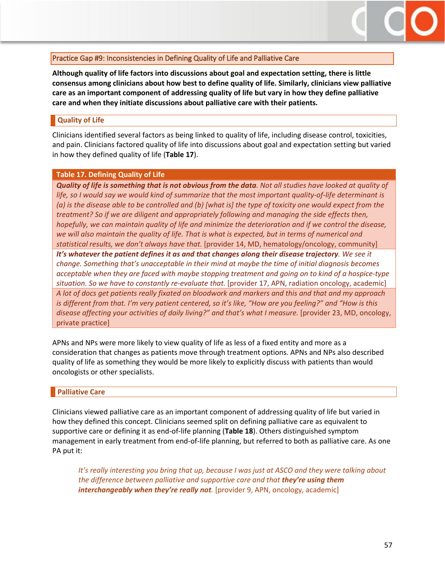

## <span id="page-56-0"></span>Practice Gap #9: Inconsistencies in Defining Quality of Life and Palliative Care

**Although quality of life factors into discussions about goal and expectation setting, there is little consensus among clinicians about how best to define quality of life. Similarly, clinicians view palliative care as an important component of addressing quality of life but vary in how they define palliative care and when they initiate discussions about palliative care with their patients.**

#### <span id="page-56-1"></span>**Quality of Life**

Clinicians identified several factors as being linked to quality of life, including disease control, toxicities, and pain. Clinicians factored quality of life into discussions about goal and expectation setting but varied in how they defined quality of life (**Table 17**).

#### **Table 17. Defining Quality of Life**

*Quality of life is something that is not obvious from the data. Not all studies have looked at quality of life, so I would say we would kind of summarize that the most important quality-of-life determinant is (a) is the disease able to be controlled and (b) [what is] the type of toxicity one would expect from the treatment? So if we are diligent and appropriately following and managing the side effects then, hopefully, we can maintain quality of life and minimize the deterioration and if we control the disease, we will also maintain the quality of life. That is what is expected, but in terms of numerical and statistical results, we don't always have that.* [provider 14, MD, hematology/oncology, community] *It's whatever the patient defines it as and that changes along their disease trajectory. We see it change. Something that's unacceptable in their mind at maybe the time of initial diagnosis becomes acceptable when they are faced with maybe stopping treatment and going on to kind of a hospice-type situation. So we have to constantly re-evaluate that.* [provider 17, APN, radiation oncology, academic] *A lot of docs get patients really fixated on bloodwork and markers and this and that and my approach is different from that. I'm very patient centered, so it's like, "How are you feeling?" and "How is this disease affecting your activities of daily living?" and that's what I measure.* [provider 23, MD, oncology, private practice]

APNs and NPs were more likely to view quality of life as less of a fixed entity and more as a consideration that changes as patients move through treatment options. APNs and NPs also described quality of life as something they would be more likely to explicitly discuss with patients than would oncologists or other specialists.

#### <span id="page-56-2"></span>**Palliative Care**

Clinicians viewed palliative care as an important component of addressing quality of life but varied in how they defined this concept. Clinicians seemed split on defining palliative care as equivalent to supportive care or defining it as end-of-life planning (**Table 18**). Others distinguished symptom management in early treatment from end-of-life planning, but referred to both as palliative care. As one PA put it:

*It's really interesting you bring that up, because I was just at ASCO and they were talking about the difference between palliative and supportive care and that they're using them interchangeably when they're really not.* [provider 9, APN, oncology, academic]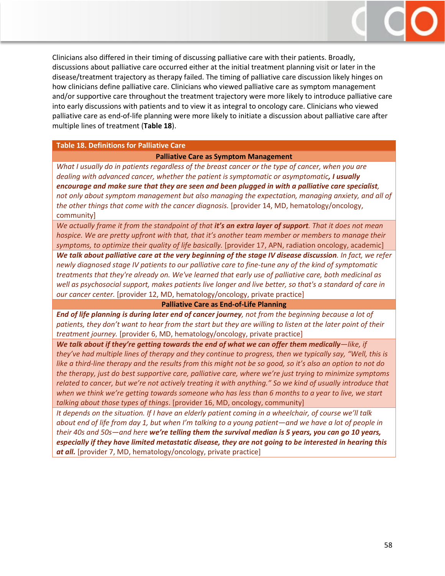

Clinicians also differed in their timing of discussing palliative care with their patients. Broadly, discussions about palliative care occurred either at the initial treatment planning visit or later in the disease/treatment trajectory as therapy failed. The timing of palliative care discussion likely hinges on how clinicians define palliative care. Clinicians who viewed palliative care as symptom management and/or supportive care throughout the treatment trajectory were more likely to introduce palliative care into early discussions with patients and to view it as integral to oncology care. Clinicians who viewed palliative care as end-of-life planning were more likely to initiate a discussion about palliative care after multiple lines of treatment (**Table 18**).

#### **Table 18. Definitions for Palliative Care**

#### **Palliative Care as Symptom Management**

*What I usually do in patients regardless of the breast cancer or the type of cancer, when you are dealing with advanced cancer, whether the patient is symptomatic or asymptomatic, I usually encourage and make sure that they are seen and been plugged in with a palliative care specialist, not only about symptom management but also managing the expectation, managing anxiety, and all of the other things that come with the cancer diagnosis.* [provider 14, MD, hematology/oncology, community]

*We actually frame it from the standpoint of that it's an extra layer of support. That it does not mean hospice. We are pretty upfront with that, that it's another team member or members to manage their symptoms, to optimize their quality of life basically.* [provider 17, APN, radiation oncology, academic]

*We talk about palliative care at the very beginning of the stage IV disease discussion. In fact, we refer newly diagnosed stage IV patients to our palliative care to fine-tune any of the kind of symptomatic treatments that they're already on. We've learned that early use of palliative care, both medicinal as well as psychosocial support, makes patients live longer and live better, so that's a standard of care in our cancer center.* [provider 12, MD, hematology/oncology, private practice]

#### **Palliative Care as End-of-Life Planning**

*End of life planning is during later end of cancer journey, not from the beginning because a lot of patients, they don't want to hear from the start but they are willing to listen at the later point of their treatment journey.* [provider 6, MD, hematology/oncology, private practice]

*We talk about if they're getting towards the end of what we can offer them medically—like, if they've had multiple lines of therapy and they continue to progress, then we typically say, "Well, this is like a third-line therapy and the results from this might not be so good, so it's also an option to not do the therapy, just do best supportive care, palliative care, where we're just trying to minimize symptoms related to cancer, but we're not actively treating it with anything." So we kind of usually introduce that when we think we're getting towards someone who has less than 6 months to a year to live, we start talking about those types of things*. [provider 16, MD, oncology, community]

*It depends on the situation. If I have an elderly patient coming in a wheelchair, of course we'll talk about end of life from day 1, but when I'm talking to a young patient—and we have a lot of people in their 40s and 50s—and here we're telling them the survival median is 5 years, you can go 10 years, especially if they have limited metastatic disease, they are not going to be interested in hearing this at all.* [provider 7, MD, hematology/oncology, private practice]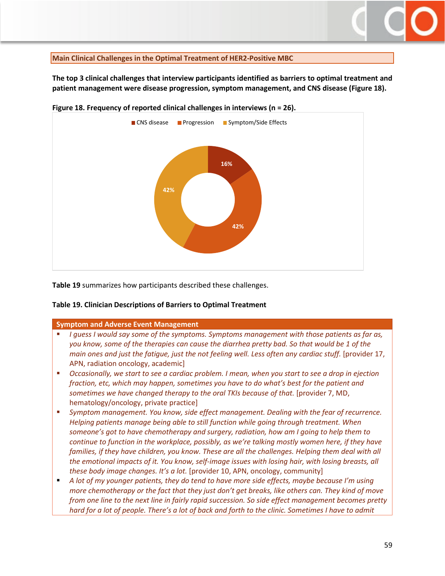#### <span id="page-58-0"></span>**Main Clinical Challenges in the Optimal Treatment of HER2-Positive MBC**

**The top 3 clinical challenges that interview participants identified as barriers to optimal treatment and patient management were disease progression, symptom management, and CNS disease (Figure 18).**



**Figure 18. Frequency of reported clinical challenges in interviews (n = 26).**

**Table 19** summarizes how participants described these challenges.

#### **Table 19. Clinician Descriptions of Barriers to Optimal Treatment**

#### **Symptom and Adverse Event Management**

- *I guess I would say some of the symptoms. Symptoms management with those patients as far as, you know, some of the therapies can cause the diarrhea pretty bad. So that would be 1 of the main ones and just the fatigue, just the not feeling well. Less often any cardiac stuff.* [provider 17, APN, radiation oncology, academic]
- *Occasionally, we start to see a cardiac problem. I mean, when you start to see a drop in ejection fraction, etc, which may happen, sometimes you have to do what's best for the patient and sometimes we have changed therapy to the oral TKIs because of that.* [provider 7, MD, hematology/oncology, private practice]
- *Symptom management. You know, side effect management. Dealing with the fear of recurrence. Helping patients manage being able to still function while going through treatment. When someone's got to have chemotherapy and surgery, radiation, how am I going to help them to continue to function in the workplace, possibly, as we're talking mostly women here, if they have*  families, if they have children, you know. These are all the challenges. Helping them deal with all *the emotional impacts of it. You know, self-image issues with losing hair, with losing breasts, all these body image changes. It's a lot.* [provider 10, APN, oncology, community]
- *A lot of my younger patients, they do tend to have more side effects, maybe because I'm using more chemotherapy or the fact that they just don't get breaks, like others can. They kind of move from one line to the next line in fairly rapid succession. So side effect management becomes pretty hard for a lot of people. There's a lot of back and forth to the clinic. Sometimes I have to admit*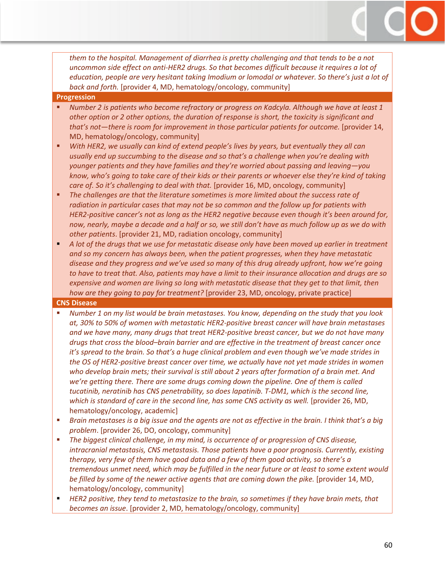*them to the hospital. Management of diarrhea is pretty challenging and that tends to be a not uncommon side effect on anti-HER2 drugs. So that becomes difficult because it requires a lot of education, people are very hesitant taking Imodium or lomodal or whatever. So there's just a lot of back and forth.* [provider 4, MD, hematology/oncology, community]

#### **Progression**

- *Number 2 is patients who become refractory or progress on Kadcyla. Although we have at least 1 other option or 2 other options, the duration of response is short, the toxicity is significant and that's not—there is room for improvement in those particular patients for outcome.* [provider 14, MD, hematology/oncology, community]
- *With HER2, we usually can kind of extend people's lives by years, but eventually they all can usually end up succumbing to the disease and so that's a challenge when you're dealing with younger patients and they have families and they're worried about passing and leaving—you know, who's going to take care of their kids or their parents or whoever else they're kind of taking care of. So it's challenging to deal with that.* [provider 16, MD, oncology, community]
- *The challenges are that the literature sometimes is more limited about the success rate of radiation in particular cases that may not be so common and the follow up for patients with HER2-positive cancer's not as long as the HER2 negative because even though it's been around for, now, nearly, maybe a decade and a half or so, we still don't have as much follow up as we do with other patients*. [provider 21, MD, radiation oncology, community]
- **A** lot of the drugs that we use for metastatic disease only have been moved up earlier in treatment *and so my concern has always been, when the patient progresses, when they have metastatic disease and they progress and we've used so many of this drug already upfront, how we're going to have to treat that. Also, patients may have a limit to their insurance allocation and drugs are so expensive and women are living so long with metastatic disease that they get to that limit, then how are they going to pay for treatment?* [provider 23, MD, oncology, private practice]

#### **CNS Disease**

- *Number 1 on my list would be brain metastases. You know, depending on the study that you look at, 30% to 50% of women with metastatic HER2-positive breast cancer will have brain metastases and we have many, many drugs that treat HER2-positive breast cancer, but we do not have many drugs that cross the blood–brain barrier and are effective in the treatment of breast cancer once it's spread to the brain. So that's a huge clinical problem and even though we've made strides in the OS of HER2-positive breast cancer over time, we actually have not yet made strides in women who develop brain mets; their survival is still about 2 years after formation of a brain met. And we're getting there. There are some drugs coming down the pipeline. One of them is called tucatinib, neratinib has CNS penetrability, so does lapatinib. T-DM1, which is the second line, which is standard of care in the second line, has some CNS activity as well.* [provider 26, MD, hematology/oncology, academic]
- *Brain metastases is a big issue and the agents are not as effective in the brain. I think that's a big problem*. [provider 26, DO, oncology, community]
- *The biggest clinical challenge, in my mind, is occurrence of or progression of CNS disease, intracranial metastasis, CNS metastasis. Those patients have a poor prognosis. Currently, existing therapy, very few of them have good data and a few of them good activity, so there's a tremendous unmet need, which may be fulfilled in the near future or at least to some extent would be filled by some of the newer active agents that are coming down the pike.* [provider 14, MD, hematology/oncology, community]
- *HER2 positive, they tend to metastasize to the brain, so sometimes if they have brain mets, that becomes an issue*. [provider 2, MD, hematology/oncology, community]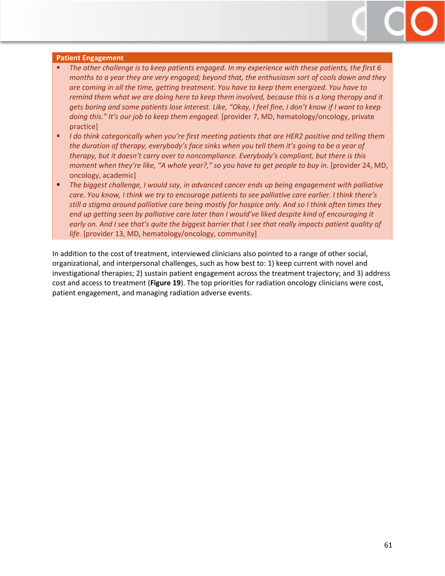

#### **Patient Engagement**

- *The other challenge is to keep patients engaged. In my experience with these patients, the first 6 months to a year they are very engaged; beyond that, the enthusiasm sort of cools down and they are coming in all the time, getting treatment. You have to keep them energized. You have to remind them what we are doing here to keep them involved, because this is a long therapy and it gets boring and some patients lose interest. Like, "Okay, I feel fine, I don't know if I want to keep doing this." It's our job to keep them engaged.* [provider 7, MD, hematology/oncology, private practice]
- *I do think categorically when you're first meeting patients that are HER2 positive and telling them the duration of therapy, everybody's face sinks when you tell them it's going to be a year of therapy, but it doesn't carry over to noncompliance. Everybody's compliant, but there is this moment when they're like, "A whole year?," so you have to get people to buy in.* [provider 24, MD, oncology, academic]
- *The biggest challenge, I would say, in advanced cancer ends up being engagement with palliative care. You know, I think we try to encourage patients to see palliative care earlier. I think there's still a stigma around palliative care being mostly for hospice only. And so I think often times they end up getting seen by palliative care later than I would've liked despite kind of encouraging it early on. And I see that's quite the biggest barrier that I see that really impacts patient quality of life.* [provider 13, MD, hematology/oncology, community]

In addition to the cost of treatment, interviewed clinicians also pointed to a range of other social, organizational, and interpersonal challenges, such as how best to: 1) keep current with novel and investigational therapies; 2) sustain patient engagement across the treatment trajectory; and 3) address cost and access to treatment (**Figure 19**). The top priorities for radiation oncology clinicians were cost, patient engagement, and managing radiation adverse events.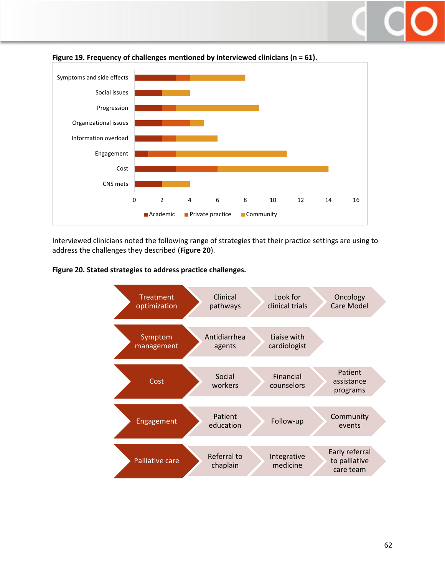



Interviewed clinicians noted the following range of strategies that their practice settings are using to address the challenges they described (**Figure 20**).

**Figure 20. Stated strategies to address practice challenges.**

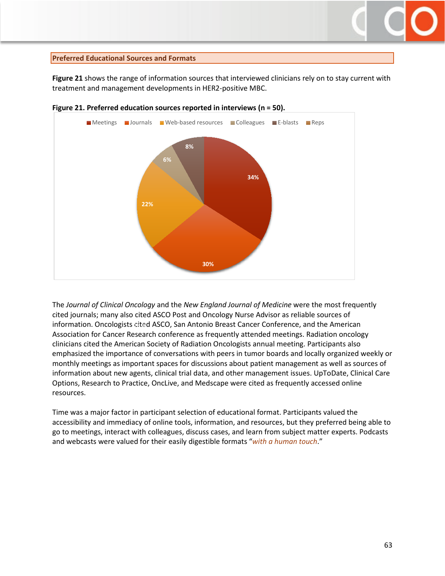## <span id="page-62-0"></span>**Preferred Educational Sources and Formats**

**Figure 21** shows the range of information sources that interviewed clinicians rely on to stay current with treatment and management developments in HER2-positive MBC.



**Figure 21. Preferred education sources reported in interviews (n = 50).** 

The *Journal of Clinical Oncology* and the *New England Journal of Medicine* were the most frequently cited journals; many also cited ASCO Post and Oncology Nurse Advisor as reliable sources of information. Oncologists cited ASCO, San Antonio Breast Cancer Conference, and the American 24%Association for Cancer Research conference as frequently attended meetings. Radiation oncology clinicians cited the American Society of Radiation Oncologists annual meeting. Participants also emphasized the importance of conversations with peers in tumor boards and locally organized weekly or monthly meetings as important spaces for discussions about patient management as well as sources of information about new agents, clinical trial data, and other management issues. UpToDate, Clinical Care Options, Research to Practice, OncLive, and Medscape were cited as frequently accessed online resources.

Time was a major factor in participant selection of educational format. Participants valued the accessibility and immediacy of online tools, information, and resources, but they preferred being able to go to meetings, interact with colleagues, discuss cases, and learn from subject matter experts. Podcasts and webcasts were valued for their easily digestible formats "*with a human touch*."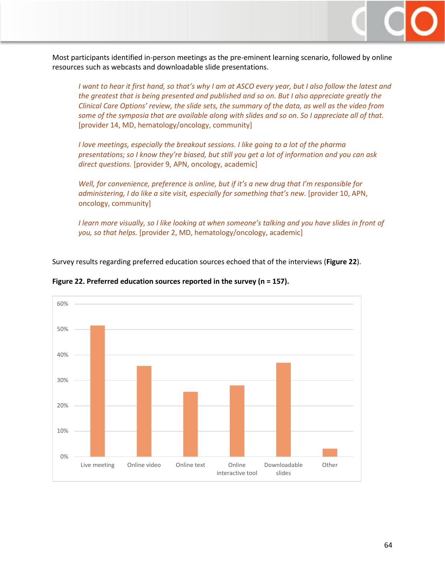

Most participants identified in-person meetings as the pre-eminent learning scenario, followed by online resources such as webcasts and downloadable slide presentations.

*I want to hear it first hand, so that's why I am at ASCO every year, but I also follow the latest and the greatest that is being presented and published and so on. But I also appreciate greatly the Clinical Care Options' review, the slide sets, the summary of the data, as well as the video from some of the symposia that are available along with slides and so on. So I appreciate all of that.* [provider 14, MD, hematology/oncology, community]

*I love meetings, especially the breakout sessions. I like going to a lot of the pharma presentations; so I know they're biased, but still you get a lot of information and you can ask direct questions.* [provider 9, APN, oncology, academic]

*Well, for convenience, preference is online, but if it's a new drug that I'm responsible for administering, I do like a site visit, especially for something that's new.* [provider 10, APN, oncology, community]

*I learn more visually, so I like looking at when someone's talking and you have slides in front of you, so that helps.* [provider 2, MD, hematology/oncology, academic]

Survey results regarding preferred education sources echoed that of the interviews (**Figure 22**).



#### **Figure 22. Preferred education sources reported in the survey (n = 157).**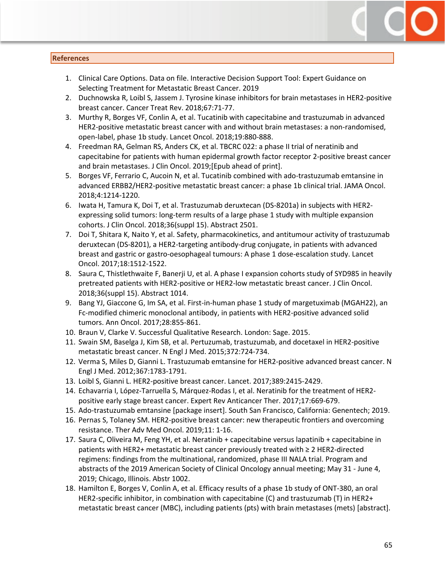#### <span id="page-64-0"></span>**References**

- 1. Clinical Care Options. Data on file. Interactive Decision Support Tool: Expert Guidance on Selecting Treatment for Metastatic Breast Cancer. 2019
- 2. [Duchnowska R,](https://www.ncbi.nlm.nih.gov/pubmed/?term=Duchnowska%20R%5BAuthor%5D&cauthor=true&cauthor_uid=29772459) [Loibl S,](https://www.ncbi.nlm.nih.gov/pubmed/?term=Loibl%20S%5BAuthor%5D&cauthor=true&cauthor_uid=29772459) [Jassem J.](https://www.ncbi.nlm.nih.gov/pubmed/?term=Jassem%20J%5BAuthor%5D&cauthor=true&cauthor_uid=29772459) Tyrosine kinase inhibitors for brain metastases in HER2-positive breast cancer. [Cancer Treat Rev.](https://www.ncbi.nlm.nih.gov/pubmed/29772459) 2018;67:71-77.
- 3. Murthy R, Borges VF, Conlin A, et al. Tucatinib [with capecitabine and trastuzumab in advanced](https://www.ncbi.nlm.nih.gov/pubmed/29804905)  [HER2-positive metastatic breast cancer with and without brain metastases: a non-randomised,](https://www.ncbi.nlm.nih.gov/pubmed/29804905)  [open-label, phase 1b study.](https://www.ncbi.nlm.nih.gov/pubmed/29804905) Lancet Oncol. 2018;19:880-888.
- 4. [Freedman RA,](https://www.ncbi.nlm.nih.gov/pubmed/?term=Freedman%20RA%5BAuthor%5D&cauthor=true&cauthor_uid=30860945) [Gelman RS,](https://www.ncbi.nlm.nih.gov/pubmed/?term=Gelman%20RS%5BAuthor%5D&cauthor=true&cauthor_uid=30860945) [Anders CK,](https://www.ncbi.nlm.nih.gov/pubmed/?term=Anders%20CK%5BAuthor%5D&cauthor=true&cauthor_uid=30860945) et al. TBCRC 022: a phase II trial of neratinib and capecitabine for patients with human epidermal growth factor receptor 2-positive breast cancer and brain metastases. [J Clin Oncol.](https://www.ncbi.nlm.nih.gov/pubmed) 2019;[Epub ahead of print].
- 5. Borges VF, Ferrario C, Aucoin N, et al. Tucatinib combined with ado-trastuzumab emtansine in advanced ERBB2/HER2-positive metastatic breast cancer: a phase 1b clinical trial. JAMA Oncol. 2018;4:1214-1220.
- 6. Iwata H, Tamura K, Doi T, et al. Trastuzumab deruxtecan (DS-8201a) in subjects with HER2 expressing solid tumors: long-term results of a large phase 1 study with multiple expansion cohorts. J Clin Oncol. 2018;36(suppl 15). Abstract 2501.
- 7. Doi T, Shitara K, Naito Y, et al. Safety, pharmacokinetics, and antitumour activity of trastuzumab deruxtecan (DS-8201), a HER2-targeting antibody-drug conjugate, in patients with advanced breast and gastric or gastro-oesophageal tumours: A phase 1 dose-escalation study. [Lancet](http://www.thelancet.com/journals/lanonc/article/PIIS1470-2045(17)30604-6/fulltext)  Oncol. [2017;18:1512-1522.](http://www.thelancet.com/journals/lanonc/article/PIIS1470-2045(17)30604-6/fulltext)
- 8. Saura C, Thistlethwaite F, Banerji U, et al. A phase I expansion cohorts study of SYD985 in heavily pretreated patients with HER2-positive or HER2-low metastatic breast cancer. J Clin Oncol. 2018;36(suppl 15). Abstract 1014.
- 9. Bang YJ, Giaccone G, Im SA, et al. First-in-human phase 1 study of margetuximab (MGAH22), an Fc-modified chimeric monoclonal antibody, in patients with HER2-positive advanced solid tumors. Ann Oncol. [2017;28:855-861.](https://academic.oup.com/annonc/article/28/4/855/2949627)
- 10. Braun V, Clarke V. Successful Qualitative Research. London: Sage. 2015.
- 11. Swain SM, Baselga J, Kim SB, et al. Pertuzumab, trastuzumab, and docetaxel in HER2-positive metastatic breast cancer. N Engl J Med. 2015;372:724-734.
- 12. Verma S, Miles D, Gianni L. Trastuzumab emtansine for HER2-positive advanced breast cancer. N Engl J Med. 2012;367:1783-1791.
- 13. Loibl S, Gianni L. HER2-positive breast cancer. Lancet. 2017;389:2415-2429.
- 14. Echavarria I, López-Tarruella S, Márquez-Rodas I, et al. Neratinib for the treatment of HER2 positive early stage breast cancer. Expert Rev Anticancer Ther. 2017;17:669-679.
- 15. Ado-trastuzumab emtansine [package insert]. South San Francisco, California: Genentech; 2019.
- 16. Pernas S, Tolaney SM. HER2-positive breast cancer: new therapeutic frontiers and overcoming resistance. Ther Adv Med Oncol. 2019;11: 1-16.
- 17. Saura C, Oliveira M, Feng YH, et al. Neratinib + capecitabine versus lapatinib + capecitabine in patients with HER2+ metastatic breast cancer previously treated with ≥ 2 HER2-directed regimens: findings from the multinational, randomized, phase III NALA trial. Program and abstracts of the 2019 American Society of Clinical Oncology annual meeting; May 31 - June 4, 2019; Chicago, Illinois. Abstr 1002.
- 18. Hamilton E, Borges V, Conlin A, et al. Efficacy results of a phase 1b study of ONT-380, an oral HER2-specific inhibitor, in combination with capecitabine (C) and trastuzumab (T) in HER2+ metastatic breast cancer (MBC), including patients (pts) with brain metastases (mets) [abstract].